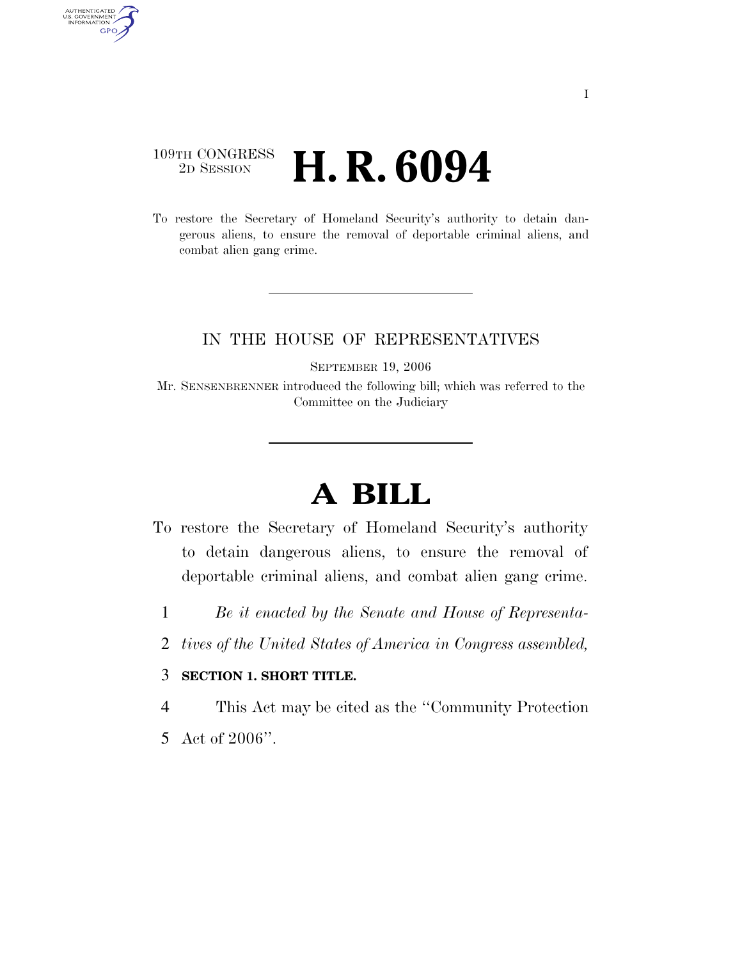### 109TH CONGRESS <sup>2D SESSION</sup> **H. R. 6094**

AUTHENTICATED<br>U.S. GOVERNMENT<br>INFORMATION GPO

> To restore the Secretary of Homeland Security's authority to detain dangerous aliens, to ensure the removal of deportable criminal aliens, and combat alien gang crime.

#### IN THE HOUSE OF REPRESENTATIVES

SEPTEMBER 19, 2006

Mr. SENSENBRENNER introduced the following bill; which was referred to the Committee on the Judiciary

# **A BILL**

- To restore the Secretary of Homeland Security's authority to detain dangerous aliens, to ensure the removal of deportable criminal aliens, and combat alien gang crime.
	- 1 *Be it enacted by the Senate and House of Representa-*
	- 2 *tives of the United States of America in Congress assembled,*

#### 3 **SECTION 1. SHORT TITLE.**

4 This Act may be cited as the ''Community Protection

5 Act of 2006''.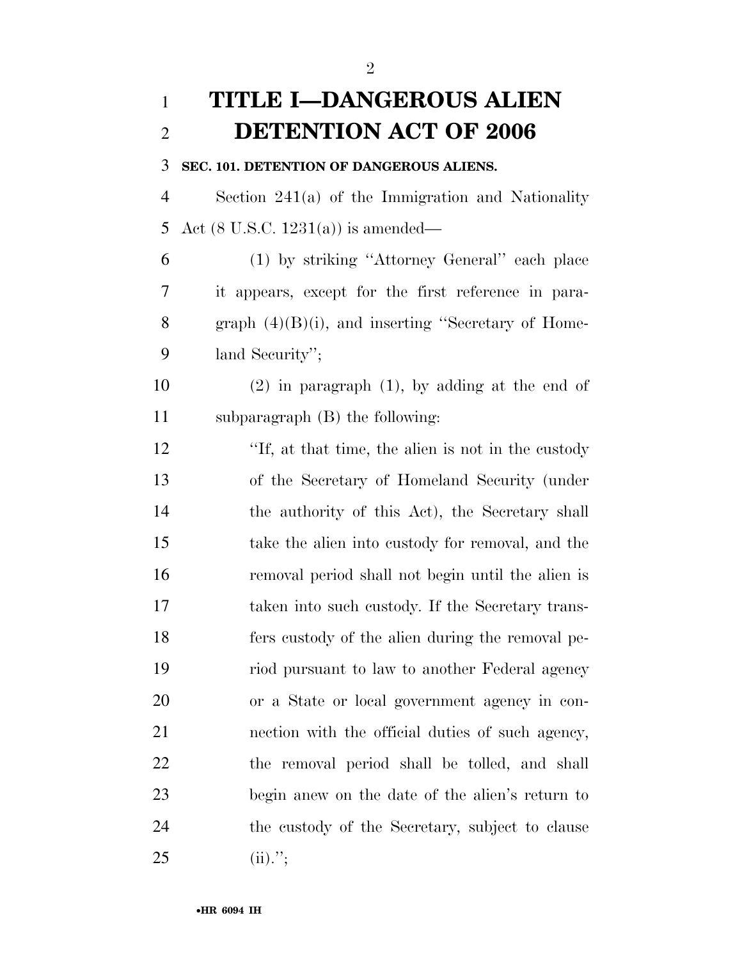## **TITLE I—DANGEROUS ALIEN DETENTION ACT OF 2006**

#### **SEC. 101. DETENTION OF DANGEROUS ALIENS.**

 Section 241(a) of the Immigration and Nationality Act (8 U.S.C. 1231(a)) is amended—

 (1) by striking ''Attorney General'' each place it appears, except for the first reference in para-8 graph  $(4)(B)(i)$ , and inserting "Secretary of Home-land Security'';

 (2) in paragraph (1), by adding at the end of subparagraph (B) the following:

 ''If, at that time, the alien is not in the custody of the Secretary of Homeland Security (under 14 the authority of this Act), the Secretary shall take the alien into custody for removal, and the removal period shall not begin until the alien is taken into such custody. If the Secretary trans- fers custody of the alien during the removal pe- riod pursuant to law to another Federal agency or a State or local government agency in con- nection with the official duties of such agency, the removal period shall be tolled, and shall begin anew on the date of the alien's return to the custody of the Secretary, subject to clause 25 (ii).";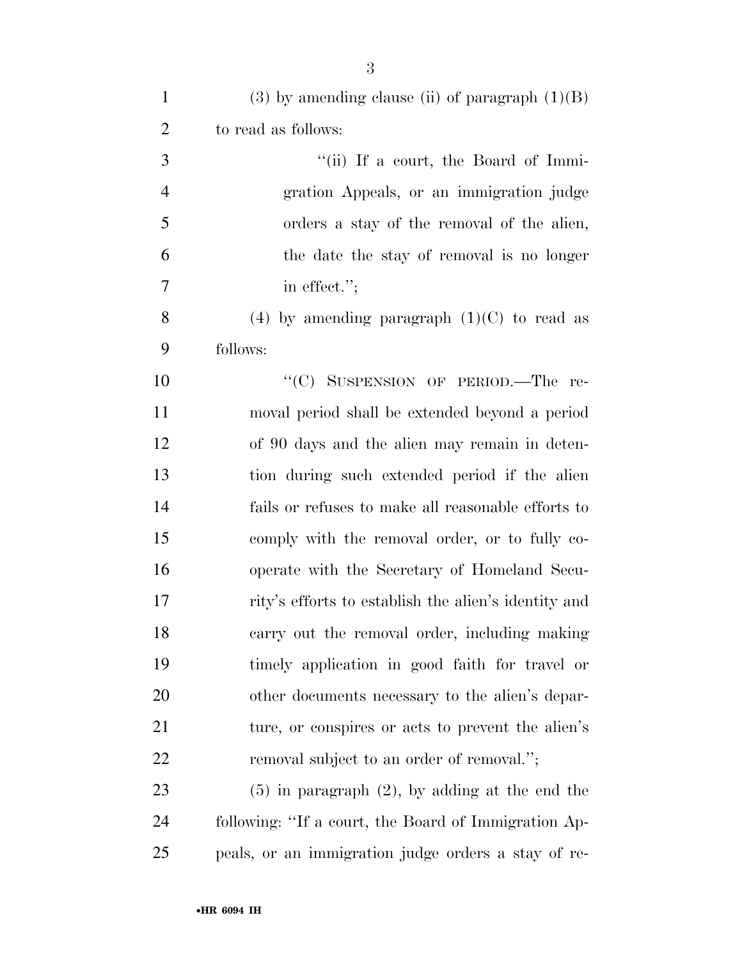| $\mathbf{1}$   | $(3)$ by amending clause (ii) of paragraph $(1)(B)$  |
|----------------|------------------------------------------------------|
| $\overline{2}$ | to read as follows:                                  |
| 3              | "(ii) If a court, the Board of Immi-                 |
| $\overline{4}$ | gration Appeals, or an immigration judge             |
| 5              | orders a stay of the removal of the alien,           |
| 6              | the date the stay of removal is no longer            |
| $\tau$         | in effect.";                                         |
| 8              | (4) by amending paragraph $(1)(C)$ to read as        |
| 9              | follows:                                             |
| 10             | "(C) SUSPENSION OF PERIOD.—The re-                   |
| 11             | moval period shall be extended beyond a period       |
| 12             | of 90 days and the alien may remain in deten-        |
| 13             | tion during such extended period if the alien        |
| 14             | fails or refuses to make all reasonable efforts to   |
| 15             | comply with the removal order, or to fully co-       |
| 16             | operate with the Secretary of Homeland Secu-         |
| $17\,$         | rity's efforts to establish the alien's identity and |
| 18             | carry out the removal order, including making        |
| 19             | timely application in good faith for travel or       |
| 20             | other documents necessary to the alien's depar-      |
| 21             | ture, or conspires or acts to prevent the alien's    |
| 22             | removal subject to an order of removal.";            |
| 23             | $(5)$ in paragraph $(2)$ , by adding at the end the  |
| 24             | following: "If a court, the Board of Immigration Ap- |
| 25             | peals, or an immigration judge orders a stay of re-  |

•**HR 6094 IH**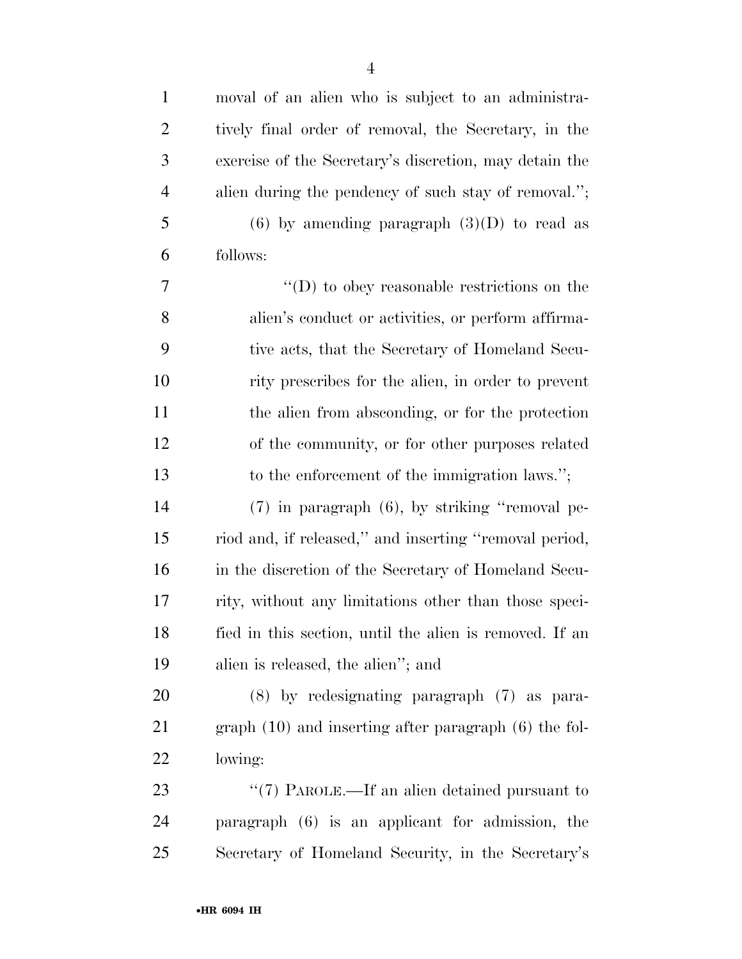| $\mathbf{1}$   | moval of an alien who is subject to an administra-       |
|----------------|----------------------------------------------------------|
| $\overline{2}$ | tively final order of removal, the Secretary, in the     |
| 3              | exercise of the Secretary's discretion, may detain the   |
| $\overline{4}$ | alien during the pendency of such stay of removal.";     |
| 5              | $(6)$ by amending paragraph $(3)(D)$ to read as          |
| 6              | follows:                                                 |
| 7              | $\lq\lq$ to obey reasonable restrictions on the          |
| 8              | alien's conduct or activities, or perform affirma-       |
| 9              | tive acts, that the Secretary of Homeland Secu-          |
| 10             | rity prescribes for the alien, in order to prevent       |
| 11             | the alien from absconding, or for the protection         |
| 12             | of the community, or for other purposes related          |
| 13             | to the enforcement of the immigration laws.";            |
| 14             | $(7)$ in paragraph $(6)$ , by striking "removal pe-      |
| 15             | riod and, if released," and inserting "removal period,   |
| 16             | in the discretion of the Secretary of Homeland Secu-     |
| 17             | rity, without any limitations other than those speci-    |
| 18             | fied in this section, until the alien is removed. If an  |
| 19             | alien is released, the alien"; and                       |
| 20             | (8) by redesignating paragraph (7) as para-              |
| 21             | $graph(10)$ and inserting after paragraph $(6)$ the fol- |
| 22             | lowing:                                                  |
| 23             | " $(7)$ PAROLE.—If an alien detained pursuant to         |
| 24             | paragraph (6) is an applicant for admission, the         |
| 25             | Secretary of Homeland Security, in the Secretary's       |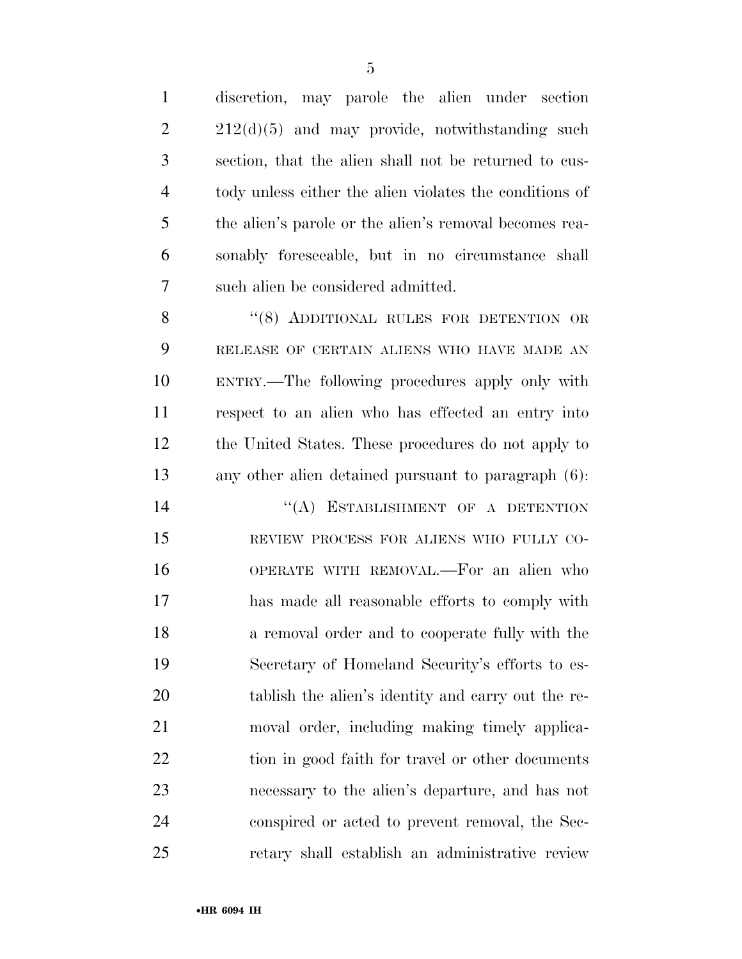discretion, may parole the alien under section  $2 \t212(d)(5)$  and may provide, notwithstanding such section, that the alien shall not be returned to cus- tody unless either the alien violates the conditions of the alien's parole or the alien's removal becomes rea- sonably foreseeable, but in no circumstance shall such alien be considered admitted. 8 "(8) ADDITIONAL RULES FOR DETENTION OR RELEASE OF CERTAIN ALIENS WHO HAVE MADE AN ENTRY.—The following procedures apply only with respect to an alien who has effected an entry into

 the United States. These procedures do not apply to any other alien detained pursuant to paragraph (6):

14 "(A) ESTABLISHMENT OF A DETENTION REVIEW PROCESS FOR ALIENS WHO FULLY CO- OPERATE WITH REMOVAL.—For an alien who has made all reasonable efforts to comply with a removal order and to cooperate fully with the Secretary of Homeland Security's efforts to es- tablish the alien's identity and carry out the re- moval order, including making timely applica-22 tion in good faith for travel or other documents necessary to the alien's departure, and has not conspired or acted to prevent removal, the Sec-retary shall establish an administrative review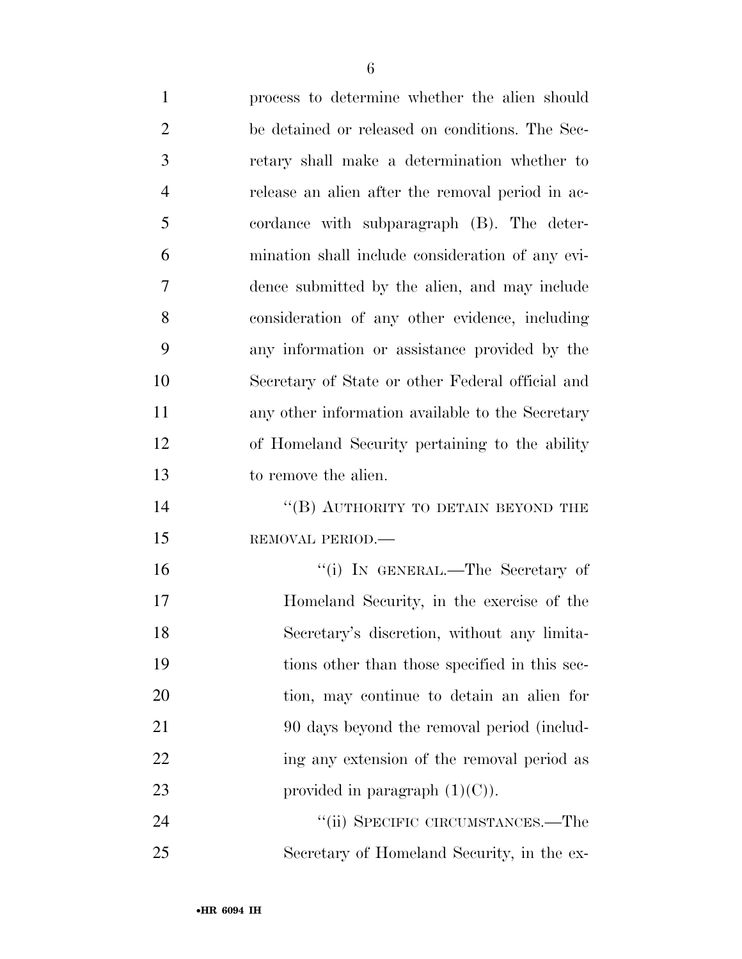| $\mathbf{1}$   | process to determine whether the alien should    |
|----------------|--------------------------------------------------|
| $\overline{2}$ | be detained or released on conditions. The Sec-  |
| 3              | retary shall make a determination whether to     |
| $\overline{4}$ | release an alien after the removal period in ac- |
| 5              | cordance with subparagraph (B). The deter-       |
| 6              | mination shall include consideration of any evi- |
| 7              | dence submitted by the alien, and may include    |
| 8              | consideration of any other evidence, including   |
| 9              | any information or assistance provided by the    |
| 10             | Secretary of State or other Federal official and |
| 11             | any other information available to the Secretary |
| 12             | of Homeland Security pertaining to the ability   |
| 13             | to remove the alien.                             |
| 14             | "(B) AUTHORITY TO DETAIN BEYOND THE              |
| 15             | REMOVAL PERIOD.-                                 |
| 16             | "(i) IN GENERAL.—The Secretary of                |
| 17             | Homeland Security, in the exercise of the        |
| 18             | Secretary's discretion, without any limita-      |
| 19             | tions other than those specified in this sec-    |
| 20             | tion, may continue to detain an alien for        |
| 21             | 90 days beyond the removal period (includ-       |
| 22             | ing any extension of the removal period as       |
| 23             | provided in paragraph $(1)(C)$ ).                |
| 24             | "(ii) SPECIFIC CIRCUMSTANCES.—The                |
| 25             | Secretary of Homeland Security, in the ex-       |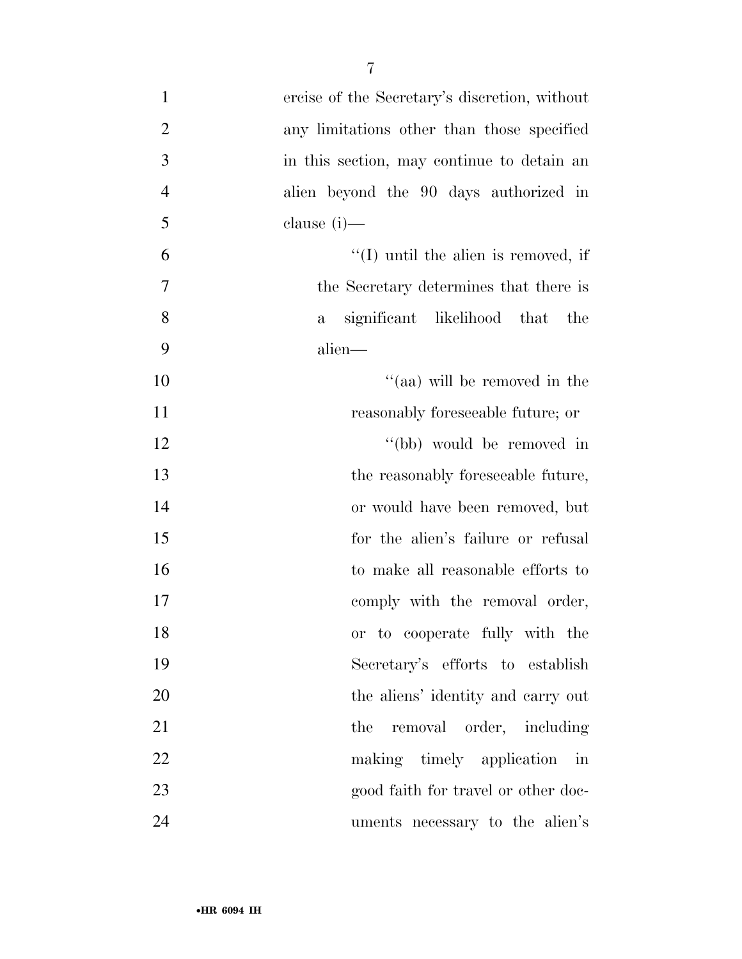| $\mathbf{1}$   | ercise of the Secretary's discretion, without      |
|----------------|----------------------------------------------------|
| $\overline{2}$ | any limitations other than those specified         |
| 3              | in this section, may continue to detain an         |
| $\overline{4}$ | alien beyond the 90 days authorized in             |
| 5              | clause (i)—                                        |
| 6              | $\lq\lq$ (I) until the alien is removed, if        |
| 7              | the Secretary determines that there is             |
| 8              | significant likelihood that<br>the<br>$\mathbf{a}$ |
| 9              | alien—                                             |
| 10             | "(aa) will be removed in the                       |
| 11             | reasonably foreseeable future; or                  |
| 12             | "(bb) would be removed in                          |
| 13             | the reasonably foreseeable future,                 |
| 14             | or would have been removed, but                    |
| 15             | for the alien's failure or refusal                 |
| 16             | to make all reasonable efforts to                  |
| 17             | comply with the removal order,                     |
| 18             | or to cooperate fully with the                     |
| 19             | Secretary's efforts to establish                   |
| 20             | the aliens' identity and carry out                 |
| 21             | the removal order, including                       |
| 22             | making timely application in                       |
| 23             | good faith for travel or other doc-                |
| 24             | uments necessary to the alien's                    |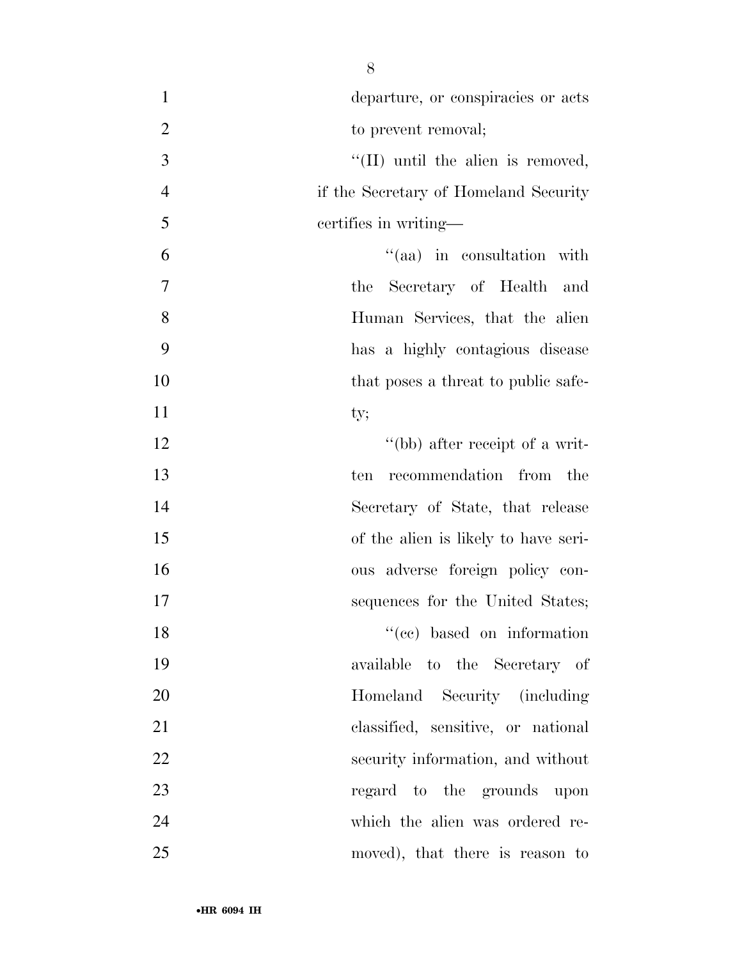| $\mathbf{1}$   | departure, or conspiracies or acts        |
|----------------|-------------------------------------------|
| $\mathfrak{2}$ | to prevent removal;                       |
| 3              | $\lq\lq$ (II) until the alien is removed, |
| $\overline{4}$ | if the Secretary of Homeland Security     |
| 5              | certifies in writing—                     |
| 6              | "(aa) in consultation with                |
| 7              | the Secretary of Health and               |
| 8              | Human Services, that the alien            |
| 9              | has a highly contagious disease           |
| 10             | that poses a threat to public safe-       |
| 11             | ty;                                       |
| 12             | "(bb) after receipt of a writ-            |
| 13             | recommendation from the<br>ten            |
| 14             | Secretary of State, that release          |
| 15             | of the alien is likely to have seri-      |
| 16             | ous adverse foreign policy con-           |
| 17             | sequences for the United States;          |
| 18             | "(cc) based on information                |
| 19             | available to the Secretary of             |
| 20             | Homeland Security (including              |
| 21             | classified, sensitive, or national        |
| 22             | security information, and without         |
| 23             | regard to the grounds upon                |
| 24             | which the alien was ordered re-           |
| 25             | moved), that there is reason to           |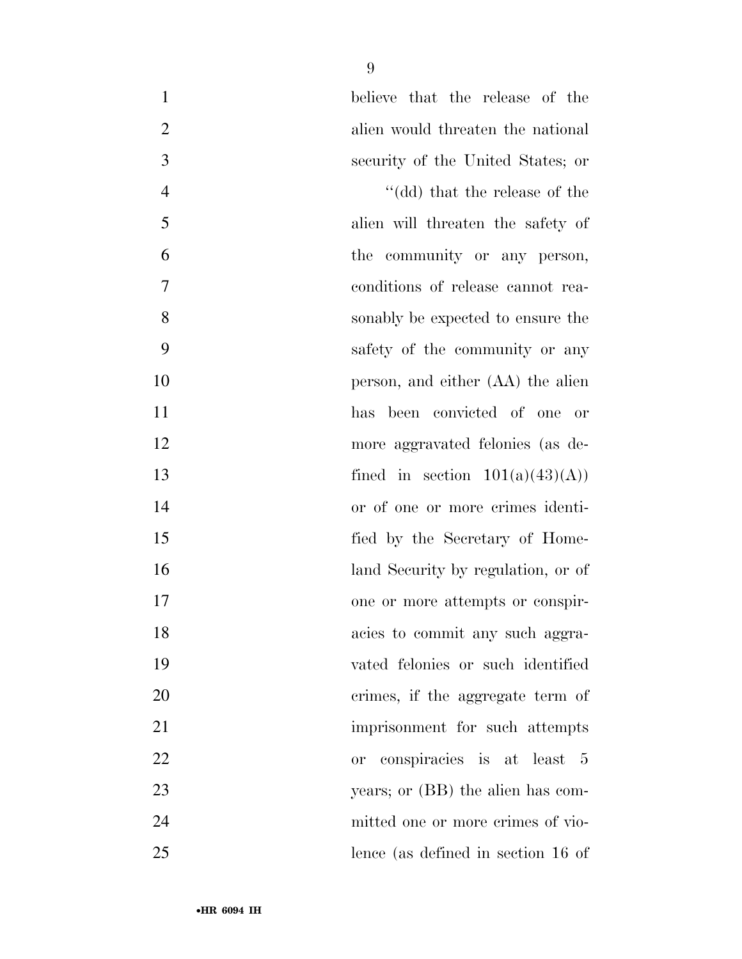| $\mathbf{1}$   | believe that the release of the         |
|----------------|-----------------------------------------|
| $\overline{2}$ | alien would threaten the national       |
| 3              | security of the United States; or       |
| $\overline{4}$ | "(dd) that the release of the           |
| 5              | alien will threaten the safety of       |
| 6              | the community or any person,            |
| $\overline{7}$ | conditions of release cannot rea-       |
| 8              | sonably be expected to ensure the       |
| 9              | safety of the community or any          |
| 10             | person, and either (AA) the alien       |
| 11             | has been convicted of one or            |
| 12             | more aggravated felonies (as de-        |
| 13             | fined in section $101(a)(43)(A)$        |
| 14             | or of one or more crimes identi-        |
| 15             | fied by the Secretary of Home-          |
| 16             | land Security by regulation, or of      |
| 17             | one or more attempts or conspir-        |
| 18             | acies to commit any such aggra-         |
| 19             | vated felonies or such identified       |
| 20             | crimes, if the aggregate term of        |
| 21             | imprisonment for such attempts          |
| 22             | conspiracies is at least 5<br><b>or</b> |
| 23             | years; or (BB) the alien has com-       |
| 24             | mitted one or more crimes of vio-       |
| 25             | lence (as defined in section 16 of      |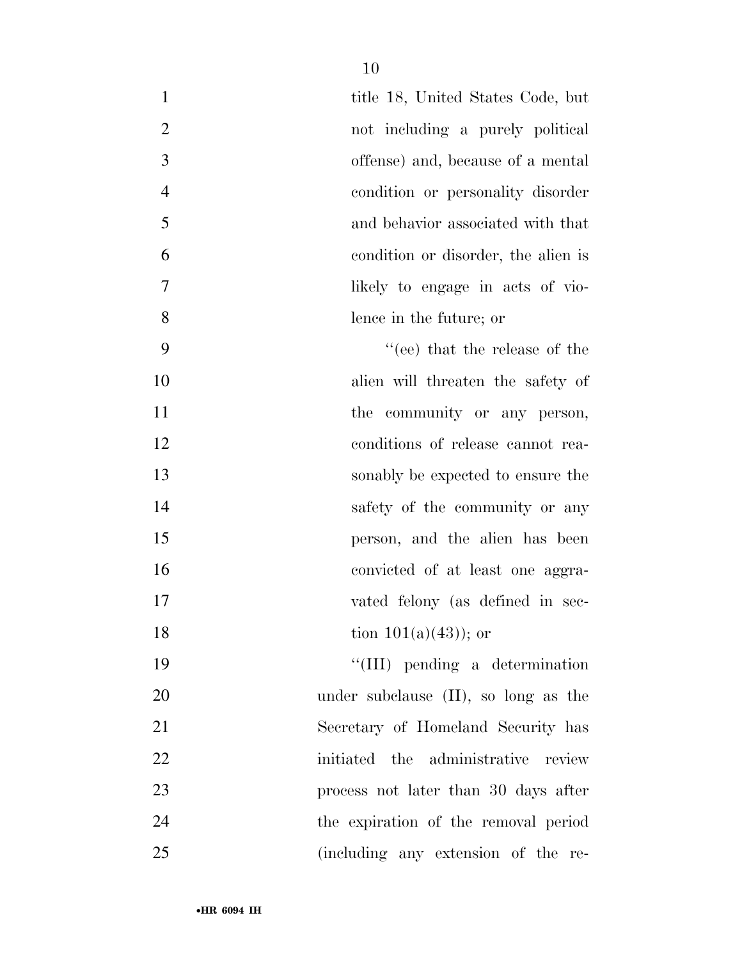| $\mathbf{1}$   | title 18, United States Code, but       |
|----------------|-----------------------------------------|
| $\overline{2}$ | not including a purely political        |
| 3              | offense) and, because of a mental       |
| $\overline{4}$ | condition or personality disorder       |
| 5              | and behavior associated with that       |
| 6              | condition or disorder, the alien is     |
| 7              | likely to engage in acts of vio-        |
| 8              | lence in the future; or                 |
| 9              | $``(ee)$ that the release of the        |
| 10             | alien will threaten the safety of       |
| 11             | the community or any person,            |
| 12             | conditions of release cannot rea-       |
| 13             | sonably be expected to ensure the       |
| 14             | safety of the community or any          |
| 15             | person, and the alien has been          |
| 16             | convicted of at least one aggra-        |
| 17             | vated felony (as defined in sec-        |
| 18             | tion $101(a)(43)$ ; or                  |
| 19             | "(III) pending a determination          |
| 20             | under subclause $(II)$ , so long as the |
| 21             | Secretary of Homeland Security has      |
| 22             | initiated the administrative review     |
| 23             | process not later than 30 days after    |
|                |                                         |

 the expiration of the removal period (including any extension of the re-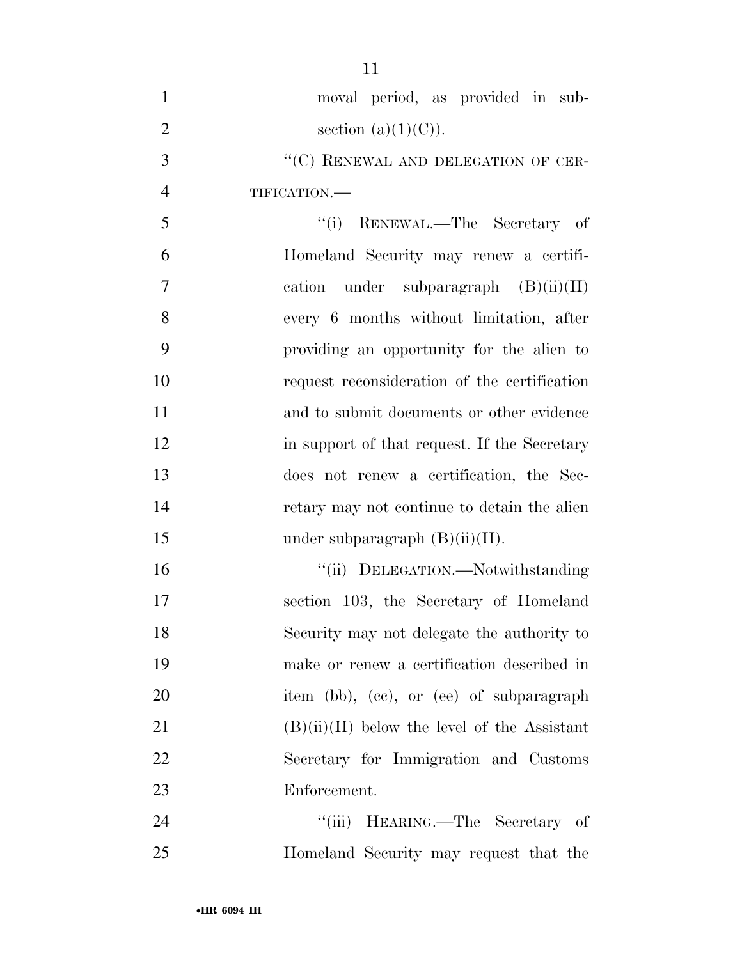| $\mathbf{1}$   | moval period, as provided in sub-              |
|----------------|------------------------------------------------|
| $\overline{2}$ | section $(a)(1)(C)$ ).                         |
| 3              | "(C) RENEWAL AND DELEGATION OF CER-            |
| $\overline{4}$ | TIFICATION.-                                   |
| 5              | "(i) RENEWAL.—The Secretary of                 |
| 6              | Homeland Security may renew a certifi-         |
| $\tau$         | cation under subparagraph $(B)(ii)(II)$        |
| 8              | every 6 months without limitation, after       |
| 9              | providing an opportunity for the alien to      |
| 10             | request reconsideration of the certification   |
| 11             | and to submit documents or other evidence      |
| 12             | in support of that request. If the Secretary   |
| 13             | does not renew a certification, the Sec-       |
| 14             | retary may not continue to detain the alien    |
| 15             | under subparagraph $(B)(ii)(II)$ .             |
| 16             | "(ii) DELEGATION.—Notwithstanding              |
| 17             | section 103, the Secretary of Homeland         |
| 18             | Security may not delegate the authority to     |
| 19             | make or renew a certification described in     |
| 20             | item (bb), (cc), or (ee) of subparagraph       |
| 21             | $(B)(ii)(II)$ below the level of the Assistant |
| 22             | Secretary for Immigration and Customs          |
| 23             | Enforcement.                                   |
| 24             | "(iii) HEARING.—The Secretary of               |
| 25             | Homeland Security may request that the         |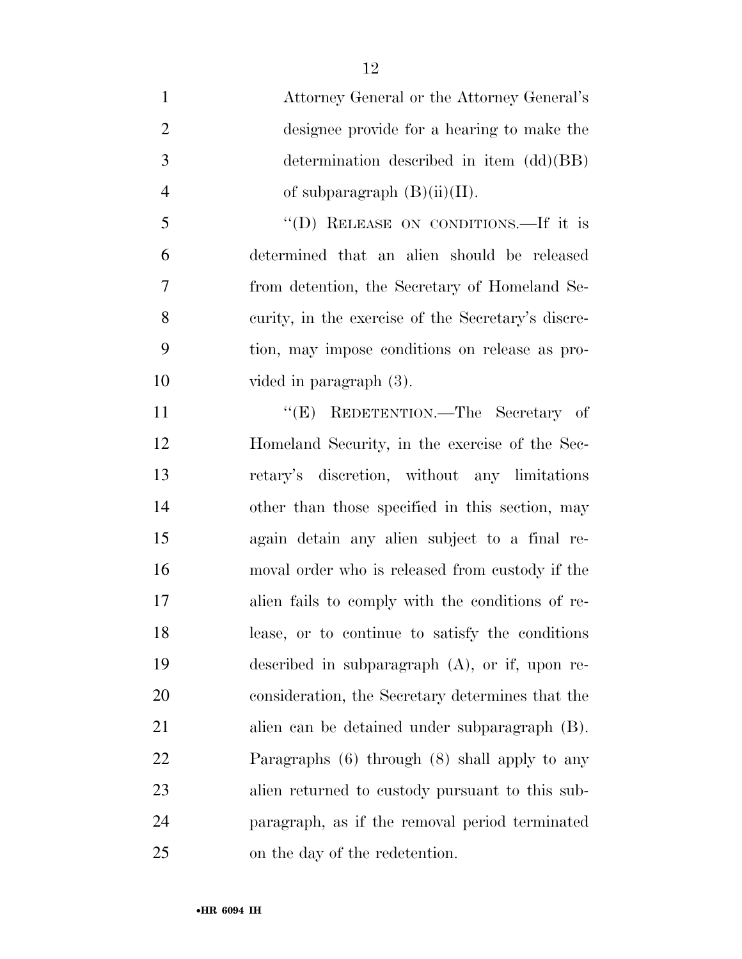Attorney General or the Attorney General's designee provide for a hearing to make the determination described in item (dd)(BB) 4 of subparagraph  $(B)(ii)(II)$ . ''(D) RELEASE ON CONDITIONS.—If it is determined that an alien should be released from detention, the Secretary of Homeland Se- curity, in the exercise of the Secretary's discre- tion, may impose conditions on release as pro- vided in paragraph (3). 11 "'(E) REDETENTION.—The Secretary of Homeland Security, in the exercise of the Sec- retary's discretion, without any limitations other than those specified in this section, may again detain any alien subject to a final re- moval order who is released from custody if the alien fails to comply with the conditions of re- lease, or to continue to satisfy the conditions described in subparagraph (A), or if, upon re- consideration, the Secretary determines that the alien can be detained under subparagraph (B). Paragraphs (6) through (8) shall apply to any alien returned to custody pursuant to this sub- paragraph, as if the removal period terminated on the day of the redetention.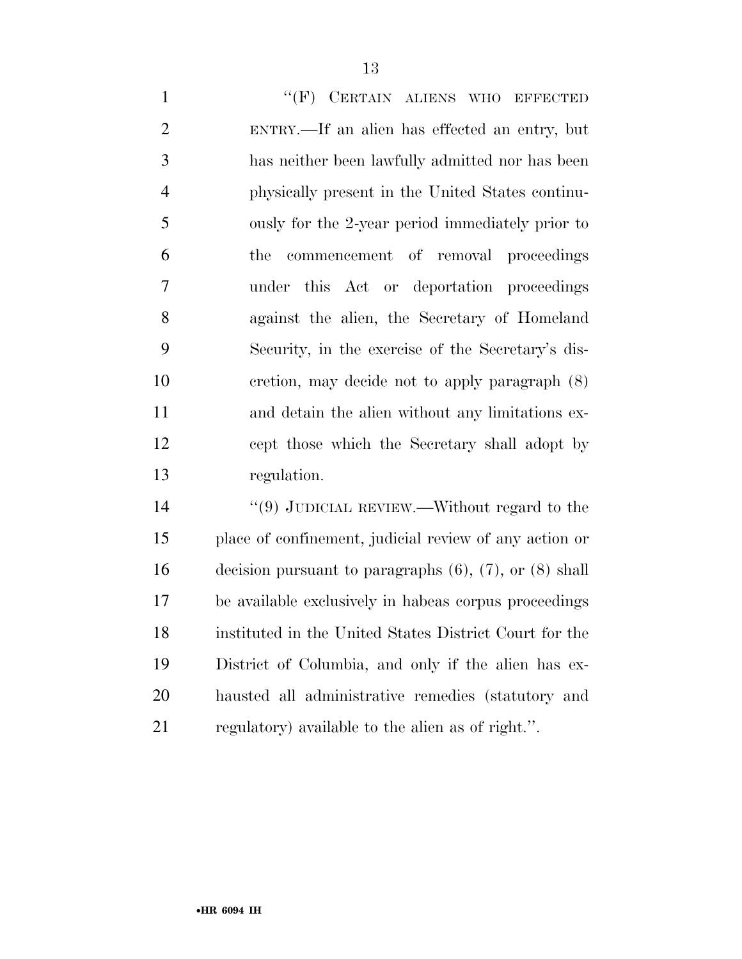1 "
(F) CERTAIN ALIENS WHO EFFECTED ENTRY.—If an alien has effected an entry, but has neither been lawfully admitted nor has been physically present in the United States continu- ously for the 2-year period immediately prior to the commencement of removal proceedings under this Act or deportation proceedings against the alien, the Secretary of Homeland Security, in the exercise of the Secretary's dis- cretion, may decide not to apply paragraph (8) and detain the alien without any limitations ex- cept those which the Secretary shall adopt by regulation.

14 "(9) JUDICIAL REVIEW.—Without regard to the place of confinement, judicial review of any action or decision pursuant to paragraphs (6), (7), or (8) shall be available exclusively in habeas corpus proceedings instituted in the United States District Court for the District of Columbia, and only if the alien has ex- hausted all administrative remedies (statutory and regulatory) available to the alien as of right.''.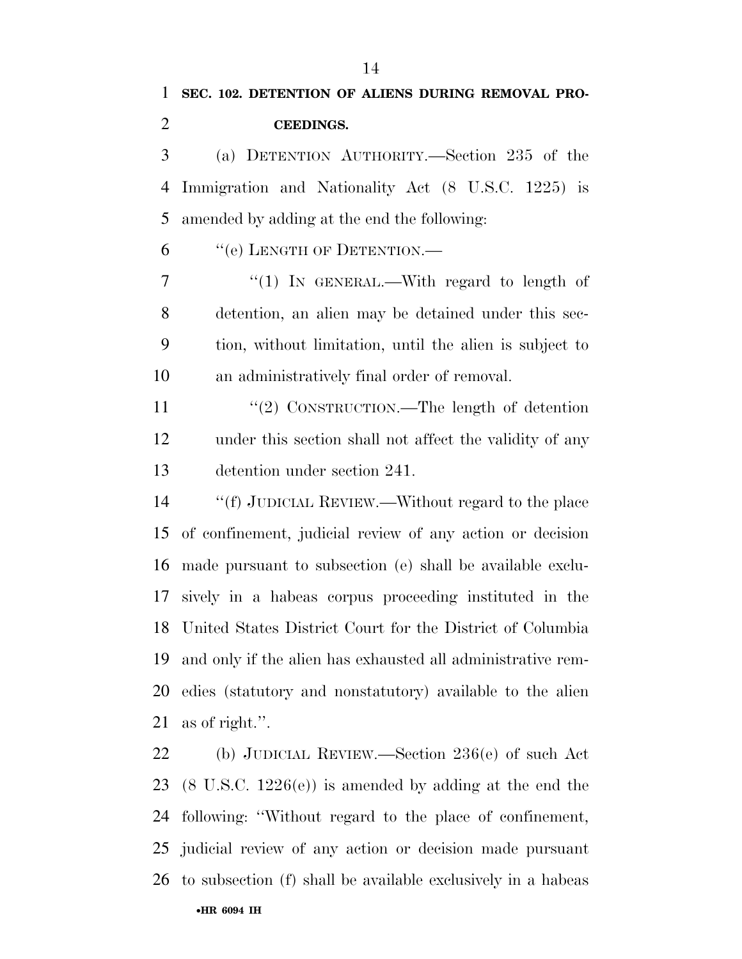**CEEDINGS.** 

 (a) DETENTION AUTHORITY.—Section 235 of the Immigration and Nationality Act (8 U.S.C. 1225) is amended by adding at the end the following:

''(e) LENGTH OF DETENTION.—

7 "(1) IN GENERAL.—With regard to length of detention, an alien may be detained under this sec- tion, without limitation, until the alien is subject to an administratively final order of removal.

11 "(2) CONSTRUCTION.—The length of detention under this section shall not affect the validity of any detention under section 241.

 ''(f) JUDICIAL REVIEW.—Without regard to the place of confinement, judicial review of any action or decision made pursuant to subsection (e) shall be available exclu- sively in a habeas corpus proceeding instituted in the United States District Court for the District of Columbia and only if the alien has exhausted all administrative rem- edies (statutory and nonstatutory) available to the alien as of right.''.

 (b) JUDICIAL REVIEW.—Section 236(e) of such Act (8 U.S.C. 1226(e)) is amended by adding at the end the following: ''Without regard to the place of confinement, judicial review of any action or decision made pursuant to subsection (f) shall be available exclusively in a habeas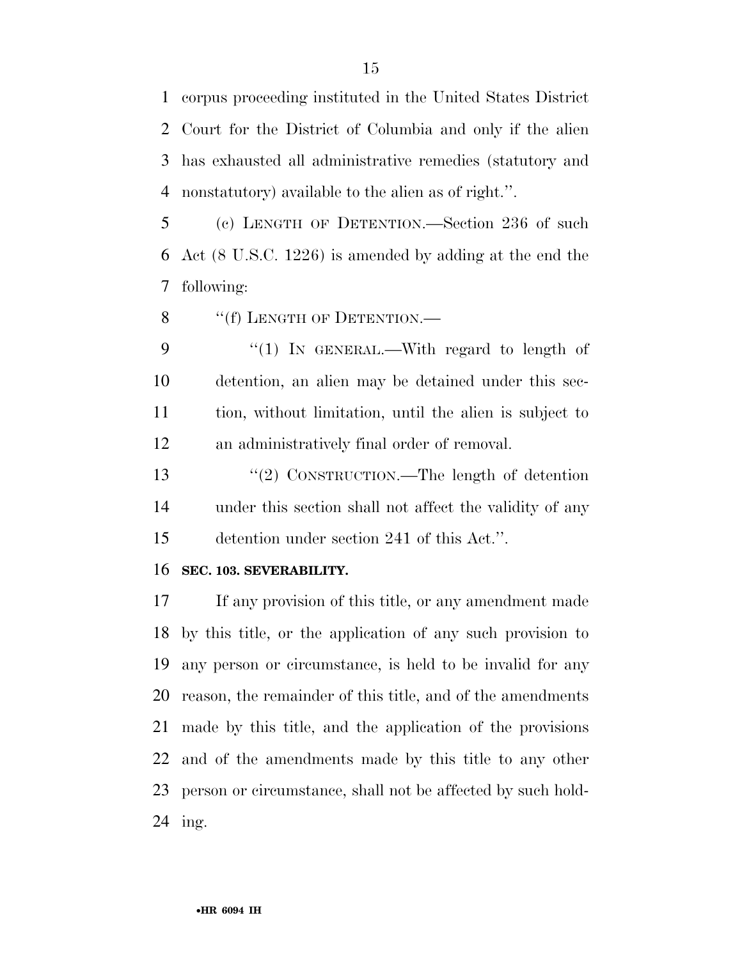corpus proceeding instituted in the United States District Court for the District of Columbia and only if the alien has exhausted all administrative remedies (statutory and nonstatutory) available to the alien as of right.''.

 (c) LENGTH OF DETENTION.—Section 236 of such Act (8 U.S.C. 1226) is amended by adding at the end the following:

8 "(f) LENGTH OF DETENTION.—

9 "(1) In GENERAL.—With regard to length of detention, an alien may be detained under this sec- tion, without limitation, until the alien is subject to an administratively final order of removal.

13 "(2) CONSTRUCTION.—The length of detention under this section shall not affect the validity of any detention under section 241 of this Act.''.

#### **SEC. 103. SEVERABILITY.**

 If any provision of this title, or any amendment made by this title, or the application of any such provision to any person or circumstance, is held to be invalid for any reason, the remainder of this title, and of the amendments made by this title, and the application of the provisions and of the amendments made by this title to any other person or circumstance, shall not be affected by such hold-ing.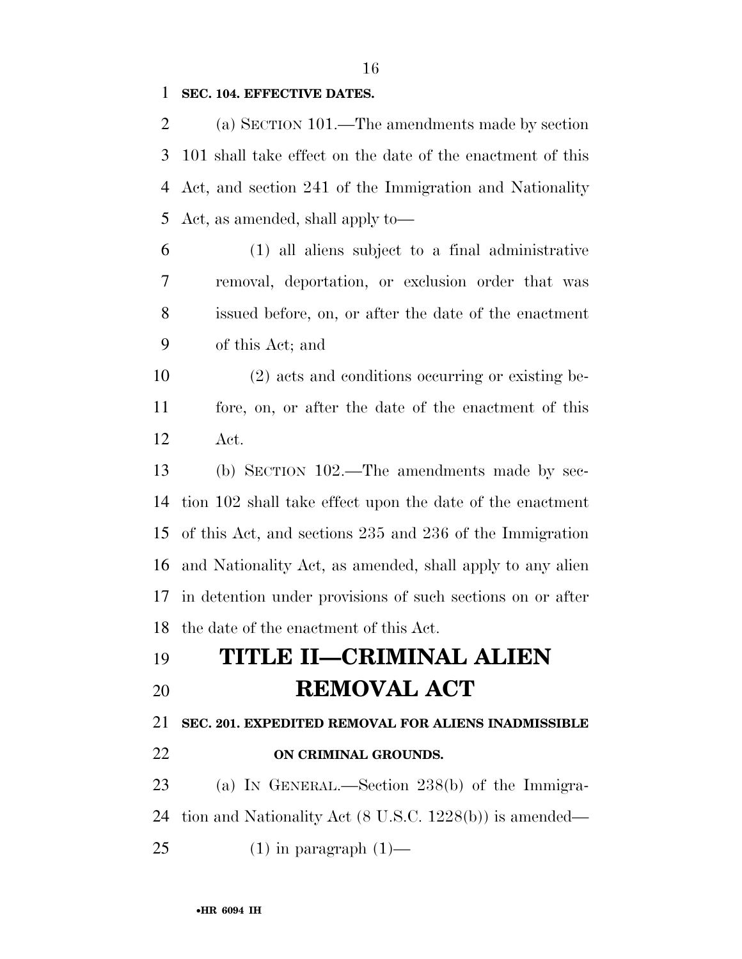#### **SEC. 104. EFFECTIVE DATES.**

 (a) SECTION 101.—The amendments made by section 101 shall take effect on the date of the enactment of this Act, and section 241 of the Immigration and Nationality Act, as amended, shall apply to—

 (1) all aliens subject to a final administrative removal, deportation, or exclusion order that was issued before, on, or after the date of the enactment of this Act; and

 (2) acts and conditions occurring or existing be- fore, on, or after the date of the enactment of this Act.

 (b) SECTION 102.—The amendments made by sec- tion 102 shall take effect upon the date of the enactment of this Act, and sections 235 and 236 of the Immigration and Nationality Act, as amended, shall apply to any alien in detention under provisions of such sections on or after the date of the enactment of this Act.

# **TITLE II—CRIMINAL ALIEN REMOVAL ACT**

**SEC. 201. EXPEDITED REMOVAL FOR ALIENS INADMISSIBLE** 

#### **ON CRIMINAL GROUNDS.**

 (a) IN GENERAL.—Section 238(b) of the Immigra-tion and Nationality Act (8 U.S.C. 1228(b)) is amended—

25 (1) in paragraph  $(1)$ —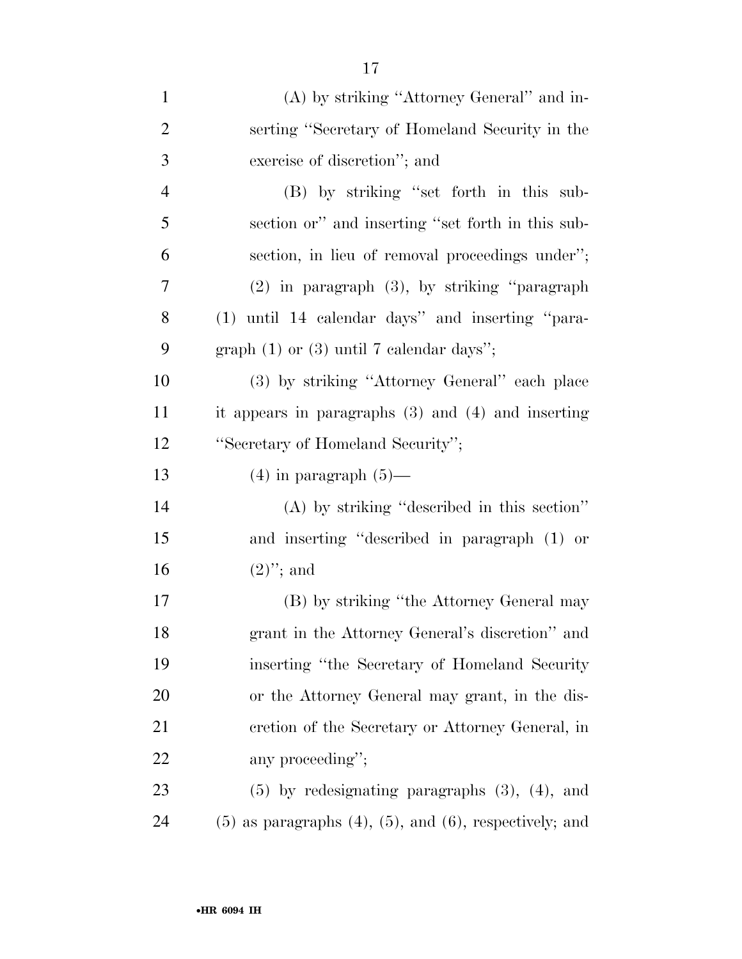| $\mathbf{1}$   | (A) by striking "Attorney General" and in-                        |
|----------------|-------------------------------------------------------------------|
| $\overline{2}$ | serting "Secretary of Homeland Security in the                    |
| 3              | exercise of discretion"; and                                      |
| $\overline{4}$ | (B) by striking "set forth in this sub-                           |
| 5              | section or" and inserting "set forth in this sub-                 |
| 6              | section, in lieu of removal proceedings under";                   |
| 7              | $(2)$ in paragraph $(3)$ , by striking "paragraph"                |
| 8              | (1) until 14 calendar days" and inserting "para-                  |
| 9              | graph $(1)$ or $(3)$ until 7 calendar days";                      |
| 10             | (3) by striking "Attorney General" each place                     |
| 11             | it appears in paragraphs $(3)$ and $(4)$ and inserting            |
| 12             | "Secretary of Homeland Security";                                 |
| 13             | $(4)$ in paragraph $(5)$ —                                        |
| 14             | (A) by striking "described in this section"                       |
| 15             | and inserting "described in paragraph (1) or                      |
| 16             | $(2)$ "; and                                                      |
| 17             | (B) by striking "the Attorney General may                         |
| 18             | grant in the Attorney General's discretion" and                   |
| 19             | inserting "the Secretary of Homeland Security                     |
| 20             | or the Attorney General may grant, in the dis-                    |
| 21             | cretion of the Secretary or Attorney General, in                  |
| 22             | any proceeding";                                                  |
| 23             | $(5)$ by redesignating paragraphs $(3)$ , $(4)$ , and             |
| 24             | $(5)$ as paragraphs $(4)$ , $(5)$ , and $(6)$ , respectively; and |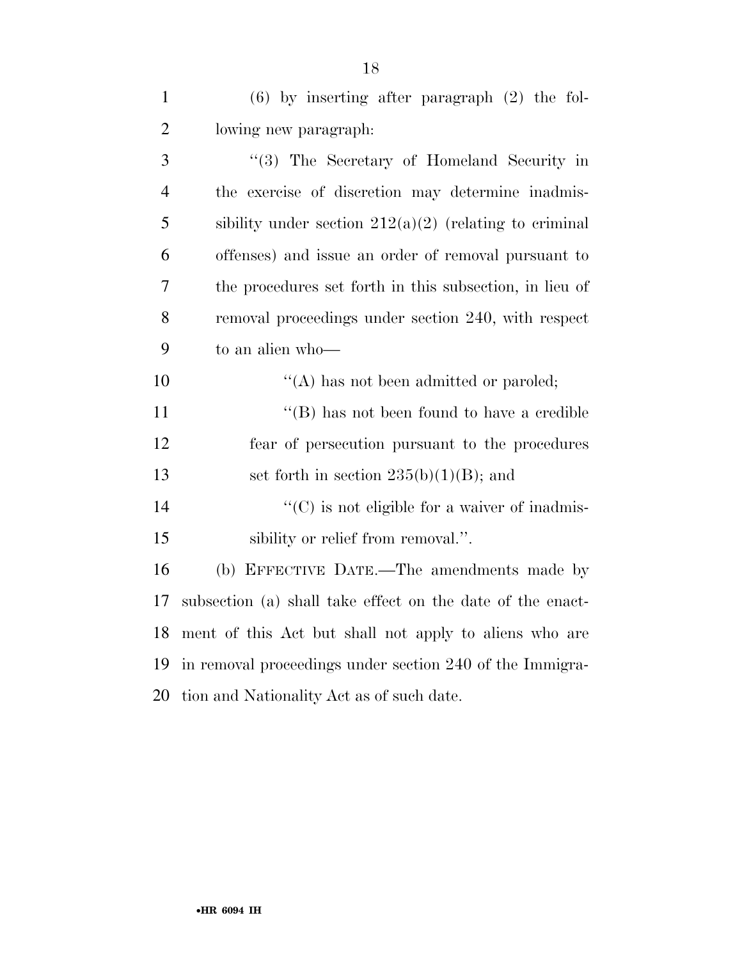| $\mathbf{1}$   | $(6)$ by inserting after paragraph $(2)$ the fol-          |
|----------------|------------------------------------------------------------|
| $\overline{2}$ | lowing new paragraph:                                      |
| 3              | "(3) The Secretary of Homeland Security in                 |
| $\overline{4}$ | the exercise of discretion may determine inadmis-          |
| 5              | sibility under section $212(a)(2)$ (relating to criminal   |
| 6              | offenses) and issue an order of removal pursuant to        |
| 7              | the procedures set forth in this subsection, in lieu of    |
| 8              | removal proceedings under section 240, with respect        |
| 9              | to an alien who-                                           |
| 10             | $\lq\lq$ has not been admitted or paroled;                 |
| 11             | $\lq\lq$ (B) has not been found to have a credible         |
| 12             | fear of persecution pursuant to the procedures             |
| 13             | set forth in section $235(b)(1)(B)$ ; and                  |
| 14             | $\lq\lq$ (C) is not eligible for a waiver of inadmis-      |
| 15             | sibility or relief from removal.".                         |
| 16             | (b) EFFECTIVE DATE.—The amendments made by                 |
| 17             | subsection (a) shall take effect on the date of the enact- |
| 18             | ment of this Act but shall not apply to aliens who are     |
| 19             | in removal proceedings under section 240 of the Immigra-   |
| 20             | tion and Nationality Act as of such date.                  |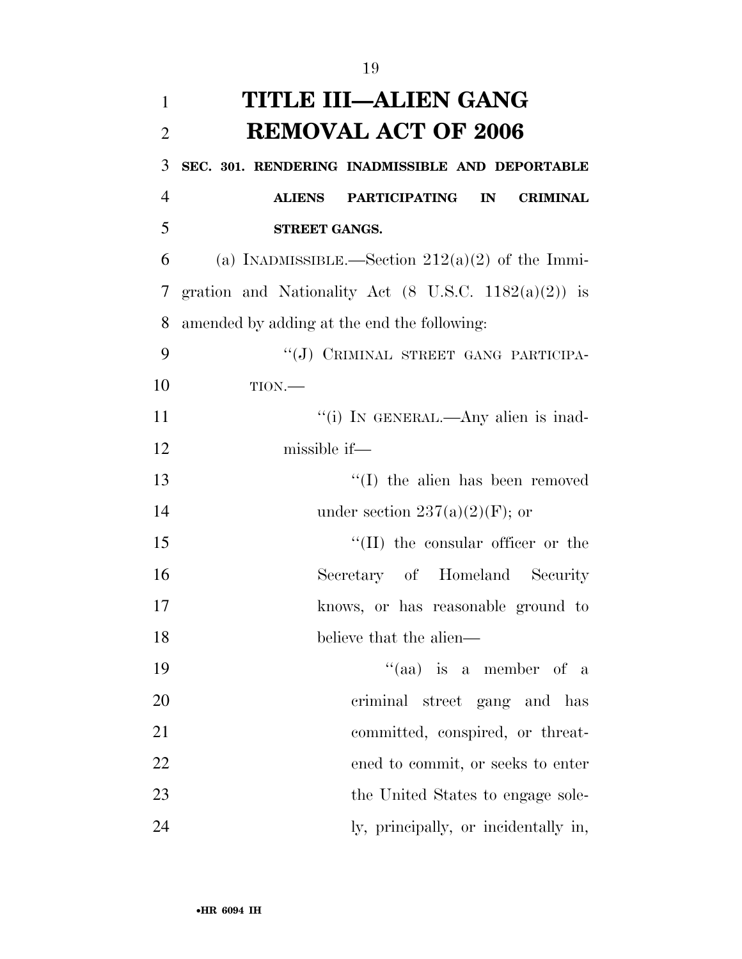| 1              | TITLE III—ALIEN GANG                                            |
|----------------|-----------------------------------------------------------------|
| $\overline{2}$ | <b>REMOVAL ACT OF 2006</b>                                      |
| 3              | SEC. 301. RENDERING INADMISSIBLE AND DEPORTABLE                 |
| 4              | <b>CRIMINAL</b><br>ALIENS PARTICIPATING IN                      |
| 5              | <b>STREET GANGS.</b>                                            |
| 6              | (a) INADMISSIBLE.—Section $212(a)(2)$ of the Immi-              |
| 7 <sup>1</sup> | gration and Nationality Act $(8 \text{ U.S.C. } 1182(a)(2))$ is |
| 8              | amended by adding at the end the following:                     |
| 9              | "(J) CRIMINAL STREET GANG PARTICIPA-                            |
| 10             | $TION$ .                                                        |
| 11             | "(i) IN GENERAL.—Any alien is inad-                             |
| 12             | missible if—                                                    |
| 12             | $(1)$ the alien has been nemeted                                |

| -13 | $\lq\lq$ (I) the alien has been removed   |
|-----|-------------------------------------------|
| -14 | under section $237(a)(2)(F)$ ; or         |
| 15  | $\lq\lq$ (II) the consular officer or the |

| -16 |                         | Secretary of Homeland Security     |  |
|-----|-------------------------|------------------------------------|--|
| -17 |                         | knows, or has reasonable ground to |  |
| -18 | believe that the alien— |                                    |  |

| 19 | "(aa) is a member of a               |
|----|--------------------------------------|
| 20 | criminal street gang and has         |
| 21 | committed, conspired, or threat-     |
| 22 | ened to commit, or seeks to enter    |
| 23 | the United States to engage sole-    |
| 24 | ly, principally, or incidentally in, |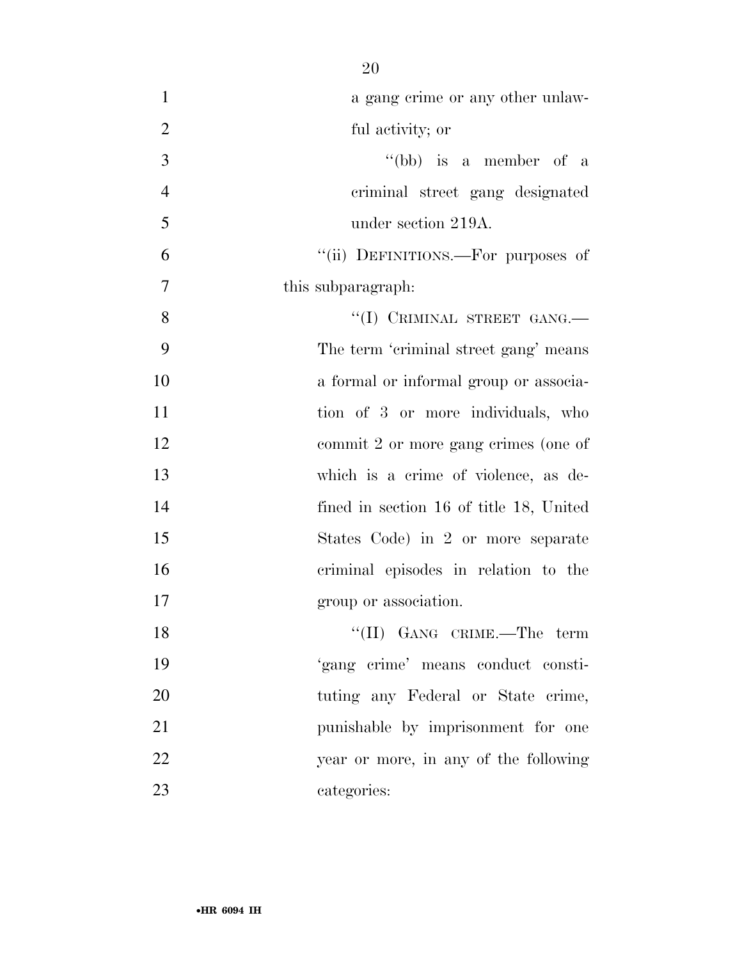| $\mathbf{1}$   | a gang crime or any other unlaw-        |
|----------------|-----------------------------------------|
| $\overline{2}$ | ful activity; or                        |
| 3              | "(bb) is a member of a                  |
| $\overline{4}$ | criminal street gang designated         |
| 5              | under section 219A.                     |
| 6              | "(ii) DEFINITIONS.—For purposes of      |
| $\tau$         | this subparagraph.                      |
| 8              | "(I) CRIMINAL STREET GANG.-             |
| 9              | The term 'criminal street gang' means   |
| 10             | a formal or informal group or associa-  |
| 11             | tion of 3 or more individuals, who      |
| 12             | commit 2 or more gang crimes (one of    |
| 13             | which is a crime of violence, as de-    |
| 14             | fined in section 16 of title 18, United |
| 15             | States Code) in 2 or more separate      |
| 16             | criminal episodes in relation to the    |
| 17             | group or association.                   |
| 18             | "(II) GANG CRIME.—The term              |
| 19             | 'gang crime' means conduct consti-      |
| 20             | tuting any Federal or State crime,      |
| 21             | punishable by imprisonment for one      |
| 22             | year or more, in any of the following   |
| 23             | categories:                             |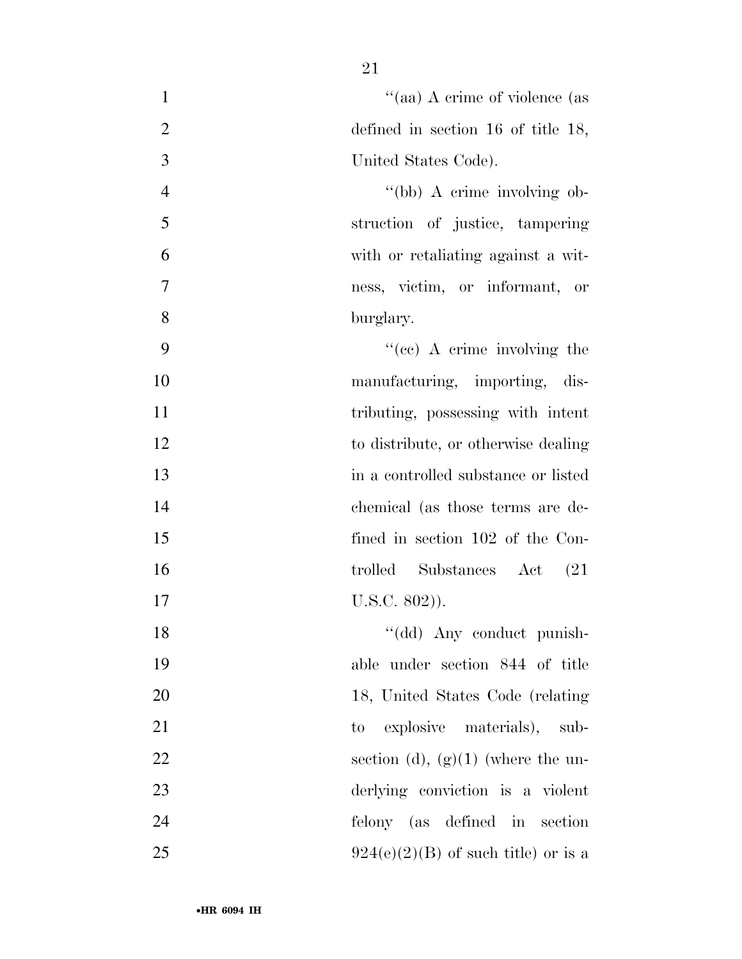| $\mathbf{1}$   | "(aa) A crime of violence (as                        |
|----------------|------------------------------------------------------|
| $\overline{2}$ | defined in section $16$ of title $18$ ,              |
| 3              | United States Code).                                 |
| $\overline{4}$ | "(bb) A crime involving ob-                          |
| 5              | struction of justice, tampering                      |
| 6              | with or retaliating against a wit-                   |
| 7              | ness, victim, or informant, or                       |
| 8              | burglary.                                            |
| 9              | "(cc) A crime involving the                          |
| 10             | manufacturing, importing, dis-                       |
| 11             | tributing, possessing with intent                    |
| 12             | to distribute, or otherwise dealing                  |
| 13             | in a controlled substance or listed                  |
| 14             | chemical (as those terms are de-                     |
| 15             | fined in section 102 of the Con-                     |
| 16             | trolled Substances Act<br>(21)                       |
| 17             | $U.S.C. 802)$ ).                                     |
| 18             | "(dd) Any conduct punish-                            |
| 19             | able under section 844 of title                      |
| 20             | 18, United States Code (relating                     |
| 21             | explosive materials), sub-<br>$\mathop{\mathrm{to}}$ |
| 22             | section (d), $(g)(1)$ (where the un-                 |
| 23             | derlying conviction is a violent                     |
| 24             | felony (as defined in section                        |
| 25             | $924(e)(2)(B)$ of such title) or is a                |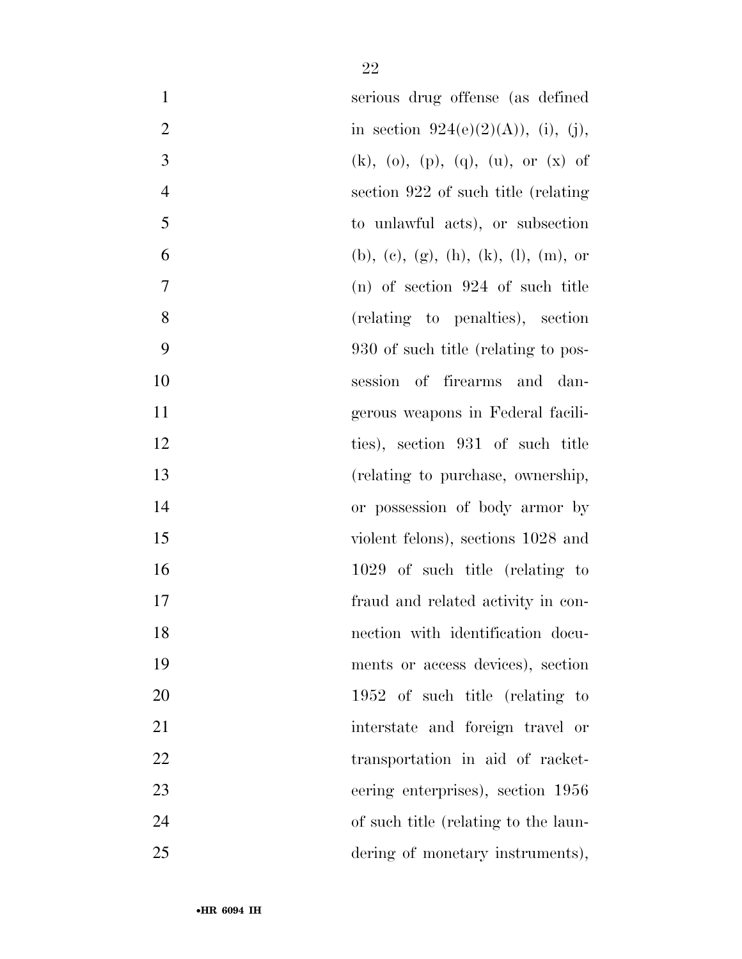| $\mathbf{1}$   | serious drug offense (as defined      |
|----------------|---------------------------------------|
| $\overline{2}$ | in section $924(e)(2)(A)$ , (i), (j), |
| 3              | $(k)$ , (o), (p), (q), (u), or (x) of |
| $\overline{4}$ | section 922 of such title (relating)  |
| 5              | to unlawful acts), or subsection      |
| 6              | (b), (c), (g), (h), (k), (l), (m), or |
| $\tau$         | $(n)$ of section 924 of such title    |
| 8              | (relating to penalties), section      |
| 9              | 930 of such title (relating to pos-   |
| 10             | session of firearms and dan-          |
| 11             | gerous weapons in Federal facili-     |
| 12             | ties), section 931 of such title      |
| 13             | (relating to purchase, ownership,     |
| 14             | or possession of body armor by        |
| 15             | violent felons), sections 1028 and    |
| 16             | 1029 of such title (relating to       |
| 17             | fraud and related activity in con-    |
| 18             | nection with identification docu-     |
| 19             | ments or access devices), section     |
| 20             | 1952 of such title (relating to       |
| 21             | interstate and foreign travel or      |
| 22             | transportation in aid of racket-      |
| 23             | eering enterprises), section 1956     |
| 24             | of such title (relating to the laun-  |
| 25             | dering of monetary instruments),      |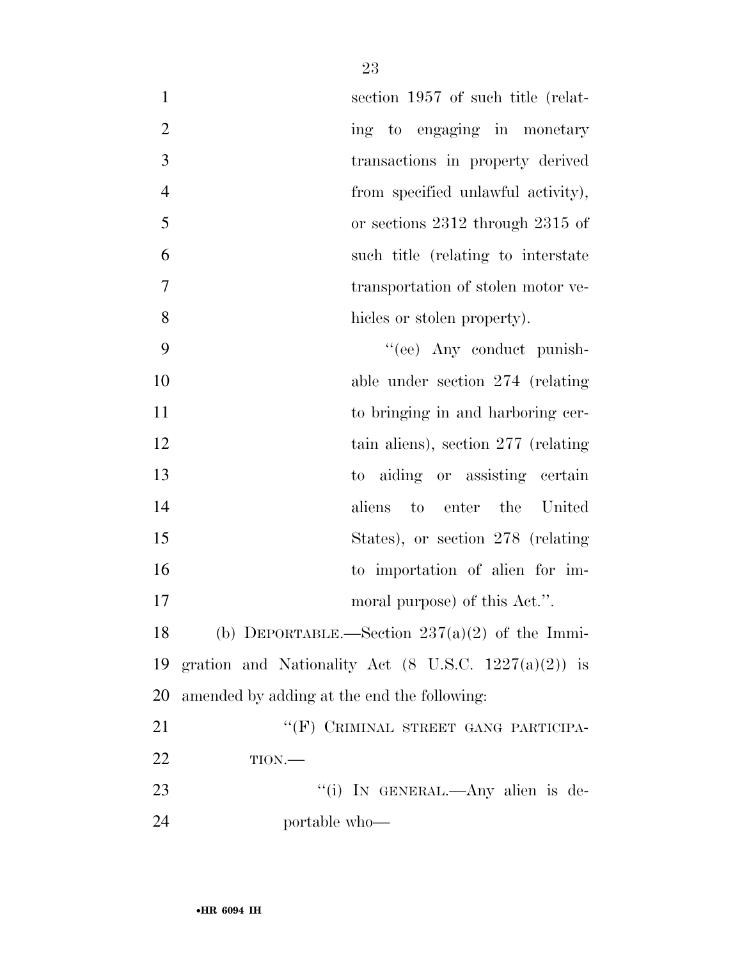| $\mathbf{1}$   |                                             | section 1957 of such title (relat-                              |
|----------------|---------------------------------------------|-----------------------------------------------------------------|
| $\overline{2}$ |                                             | ing to engaging in monetary                                     |
| 3              |                                             | transactions in property derived                                |
| $\overline{4}$ |                                             | from specified unlawful activity),                              |
| 5              |                                             | or sections 2312 through 2315 of                                |
| 6              |                                             | such title (relating to interstate                              |
| 7              |                                             | transportation of stolen motor ve-                              |
| 8              |                                             | hicles or stolen property).                                     |
| 9              |                                             | "(ee) Any conduct punish-                                       |
| 10             |                                             | able under section $274$ (relating                              |
| 11             |                                             | to bringing in and harboring cer-                               |
| 12             |                                             | tain aliens), section $277$ (relating                           |
| 13             | $\mathop{\mathrm{to}}$                      | aiding or assisting certain                                     |
| 14             |                                             | enter<br>the<br>aliens<br>to<br>United                          |
| 15             |                                             | States), or section 278 (relating                               |
| 16             |                                             | to importation of alien for im-                                 |
| 17             |                                             | moral purpose) of this Act.".                                   |
| 18             |                                             | (b) DEPORTABLE.—Section $237(a)(2)$ of the Immi-                |
| 19             |                                             | gration and Nationality Act $(8 \text{ U.S.C. } 1227(a)(2))$ is |
| 20             | amended by adding at the end the following: |                                                                 |
|                |                                             |                                                                 |

21 "(F) CRIMINAL STREET GANG PARTICIPA- TION.— ''(i) IN GENERAL.—Any alien is de-portable who—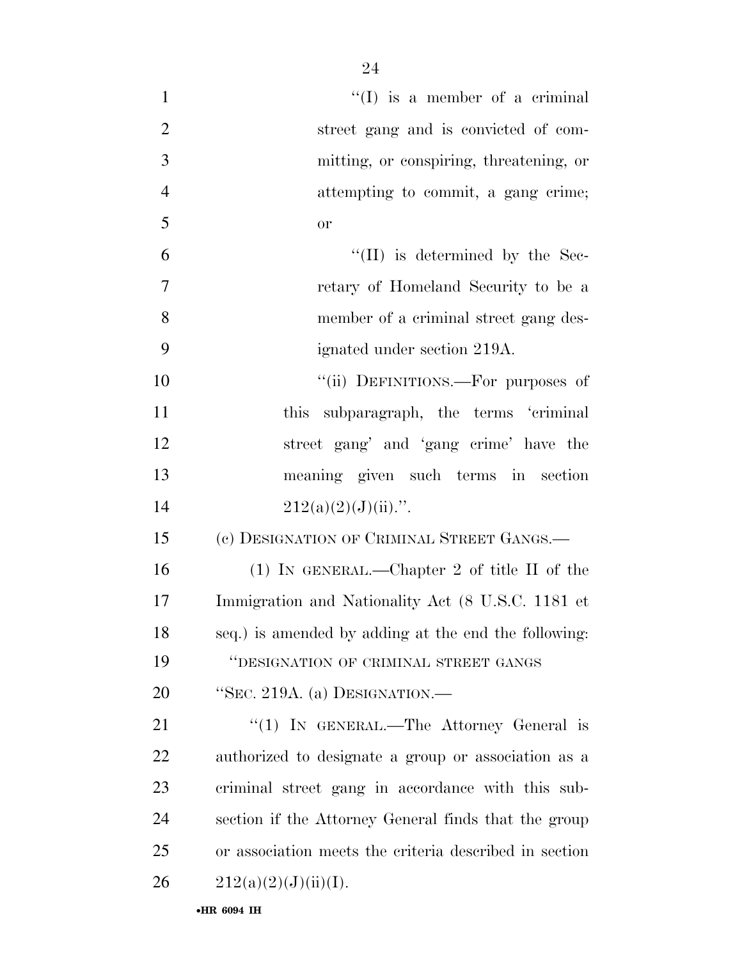| $\mathbf{1}$   | $\lq\lq$ (I) is a member of a criminal                 |
|----------------|--------------------------------------------------------|
| $\overline{2}$ | street gang and is convicted of com-                   |
| 3              | mitting, or conspiring, threatening, or                |
| $\overline{4}$ | attempting to commit, a gang crime;                    |
| 5              | <b>or</b>                                              |
| 6              | $\lq\lq$ (II) is determined by the Sec-                |
| $\overline{7}$ | retary of Homeland Security to be a                    |
| 8              | member of a criminal street gang des-                  |
| 9              | ignated under section 219A.                            |
| 10             | "(ii) DEFINITIONS.—For purposes of                     |
| 11             | this subparagraph, the terms 'criminal                 |
| 12             | street gang' and 'gang crime' have the                 |
| 13             | meaning given such terms in section                    |
| 14             | $212(a)(2)(J)(ii)$ .".                                 |
| 15             | (c) DESIGNATION OF CRIMINAL STREET GANGS.—             |
| 16             | (1) IN GENERAL.—Chapter 2 of title II of the           |
| 17             | Immigration and Nationality Act (8 U.S.C. 1181 et      |
| 18             | seq.) is amended by adding at the end the following:   |
| 19             | "DESIGNATION OF CRIMINAL STREET GANGS                  |
| 20             | "SEC. 219A. (a) DESIGNATION.—                          |
| 21             | "(1) IN GENERAL.—The Attorney General is               |
| 22             | authorized to designate a group or association as a    |
| 23             | criminal street gang in accordance with this sub-      |
| 24             | section if the Attorney General finds that the group   |
| 25             | or association meets the criteria described in section |
| 26             | 212(a)(2)(J)(ii)(I).                                   |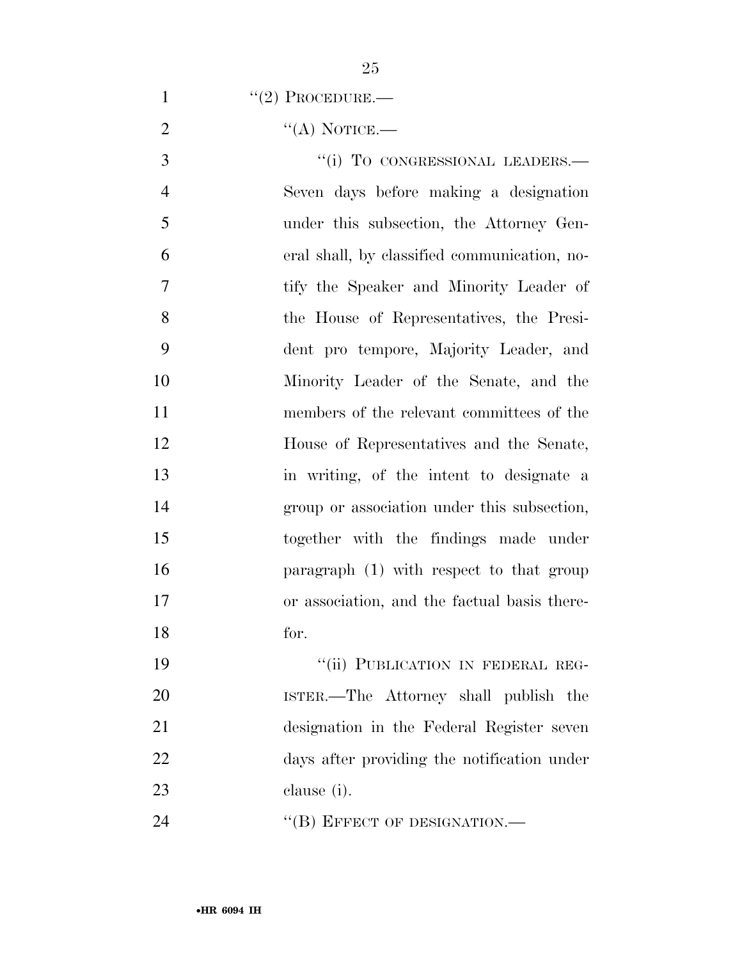| $\cdot$ (2) PROCEDURE.— |
|-------------------------|
|-------------------------|

''(A) NOTICE.—

3 "(i) TO CONGRESSIONAL LEADERS.— Seven days before making a designation under this subsection, the Attorney Gen- eral shall, by classified communication, no- tify the Speaker and Minority Leader of the House of Representatives, the Presi- dent pro tempore, Majority Leader, and Minority Leader of the Senate, and the members of the relevant committees of the House of Representatives and the Senate, in writing, of the intent to designate a group or association under this subsection, together with the findings made under paragraph (1) with respect to that group or association, and the factual basis there-for.

19 "'(ii) PUBLICATION IN FEDERAL REG- ISTER.—The Attorney shall publish the designation in the Federal Register seven days after providing the notification under clause (i).

24 "(B) EFFECT OF DESIGNATION.—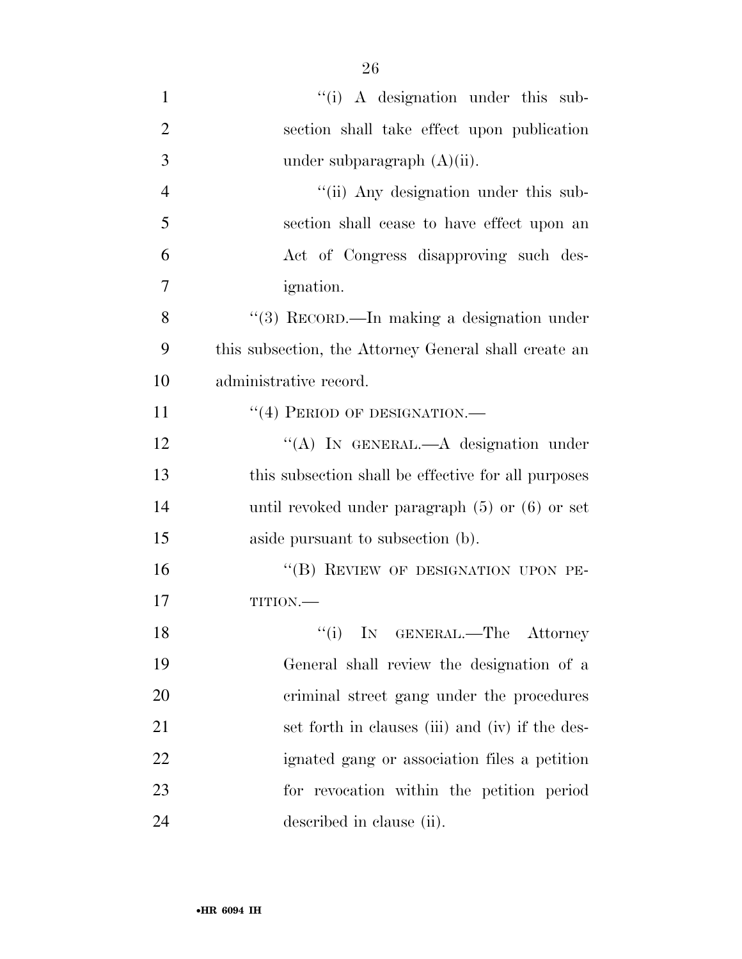| $\mathbf{1}$   | "(i) A designation under this sub-                    |
|----------------|-------------------------------------------------------|
| $\overline{2}$ | section shall take effect upon publication            |
| 3              | under subparagraph $(A)(ii)$ .                        |
| $\overline{4}$ | "(ii) Any designation under this sub-                 |
| 5              | section shall cease to have effect upon an            |
| 6              | Act of Congress disapproving such des-                |
| 7              | <i>ignation.</i>                                      |
| 8              | "(3) RECORD.—In making a designation under            |
| 9              | this subsection, the Attorney General shall create an |
| 10             | administrative record.                                |
| 11             | $``(4)$ PERIOD OF DESIGNATION.—                       |
| 12             | "(A) IN GENERAL.—A designation under                  |
| 13             | this subsection shall be effective for all purposes   |
| 14             | until revoked under paragraph $(5)$ or $(6)$ or set   |
| 15             | aside pursuant to subsection (b).                     |
| 16             | "(B) REVIEW OF DESIGNATION UPON PE-                   |
| 17             | TITION.-                                              |
| 18             | "(i) IN GENERAL.—The Attorney                         |
| 19             | General shall review the designation of a             |
| 20             | criminal street gang under the procedures             |
| 21             | set forth in clauses (iii) and (iv) if the des-       |
| 22             | ignated gang or association files a petition          |
| 23             | for revocation within the petition period             |
| 24             | described in clause (ii).                             |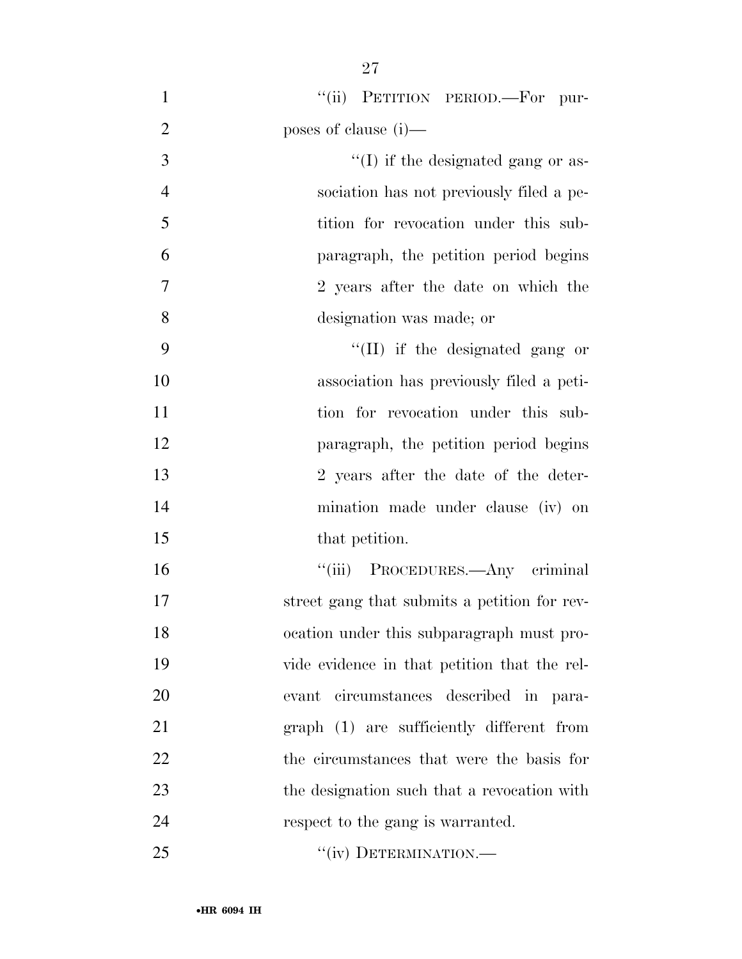1 "(ii) PETITION PERIOD.—For pur- poses of clause (i)— ''(I) if the designated gang or as- sociation has not previously filed a pe-5 tition for revocation under this sub- paragraph, the petition period begins 2 years after the date on which the designation was made; or 9 ''(II) if the designated gang or association has previously filed a peti-11 tion for revocation under this sub- paragraph, the petition period begins 2 years after the date of the deter- mination made under clause (iv) on 15 that petition. ''(iii) PROCEDURES.—Any criminal street gang that submits a petition for rev- ocation under this subparagraph must pro- vide evidence in that petition that the rel-evant circumstances described in para-

graph (1) are sufficiently different from

22 the circumstances that were the basis for

the designation such that a revocation with

24 respect to the gang is warranted.

25 "(iv) DETERMINATION.—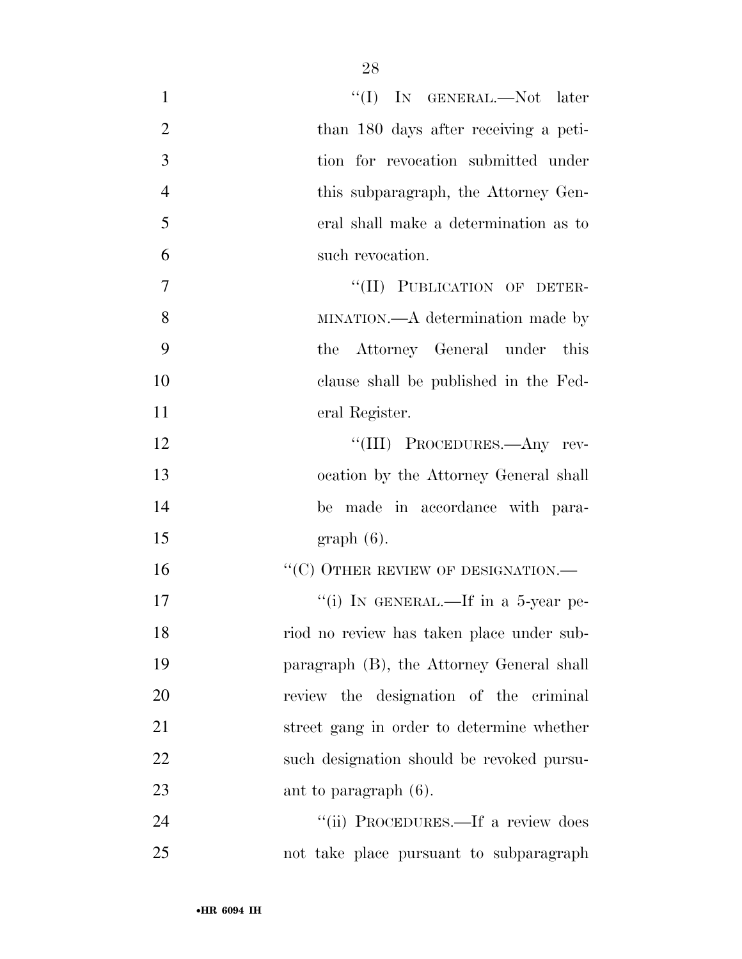| $\mathbf{1}$   | "(I) IN GENERAL.—Not later                |
|----------------|-------------------------------------------|
| $\overline{2}$ | than 180 days after receiving a peti-     |
| 3              | tion for revocation submitted under       |
| $\overline{4}$ | this subparagraph, the Attorney Gen-      |
| 5              | eral shall make a determination as to     |
| 6              | such revocation.                          |
| 7              | "(II) PUBLICATION OF DETER-               |
| 8              | MINATION.—A determination made by         |
| 9              | the Attorney General under this           |
| 10             | clause shall be published in the Fed-     |
| <sup>11</sup>  | eral Register.                            |
| 12             | "(III) PROCEDURES.—Any rev-               |
| 13             | ocation by the Attorney General shall     |
| 14             | be made in accordance with para-          |
| 15             | $graph(6)$ .                              |
| 16             | $``(C)$ OTHER REVIEW OF DESIGNATION.—     |
| 17             | "(i) IN GENERAL.—If in a 5-year pe-       |
| 18             | riod no review has taken place under sub- |
| 19             | paragraph (B), the Attorney General shall |
| 20             | review the designation of the criminal    |
| 21             | street gang in order to determine whether |
| 22             | such designation should be revoked pursu- |
| 23             | ant to paragraph $(6)$ .                  |
| 24             | "(ii) PROCEDURES.—If a review does        |
| 25             | not take place pursuant to subparagraph   |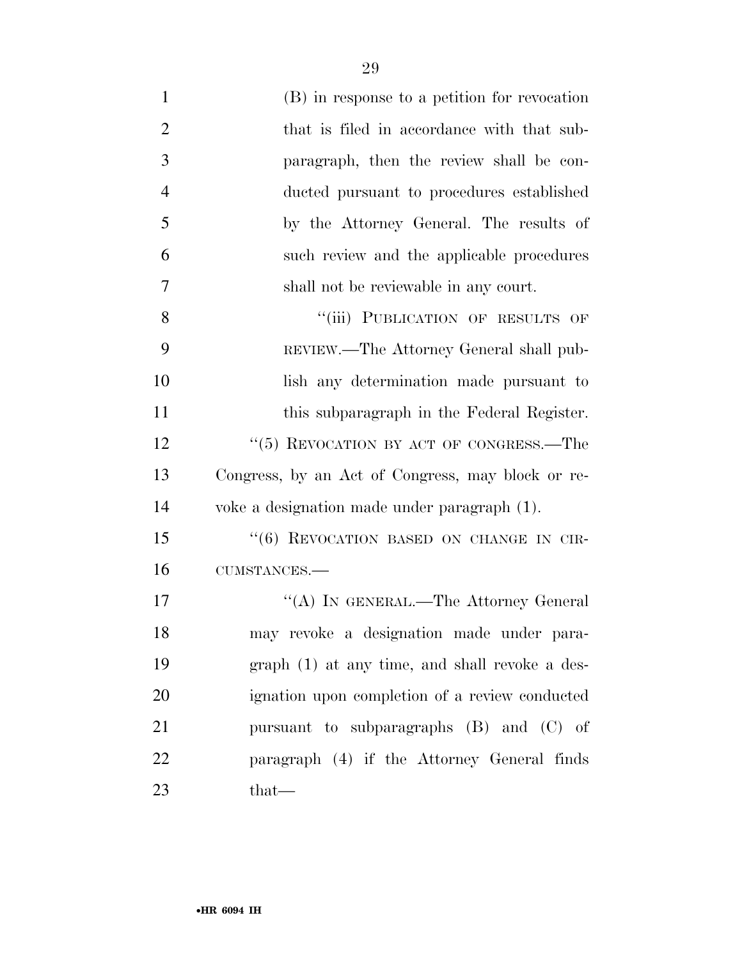| $\mathbf{1}$   | (B) in response to a petition for revocation      |
|----------------|---------------------------------------------------|
| $\overline{2}$ | that is filed in accordance with that sub-        |
| 3              | paragraph, then the review shall be con-          |
| $\overline{4}$ | ducted pursuant to procedures established         |
| 5              | by the Attorney General. The results of           |
| 6              | such review and the applicable procedures         |
| 7              | shall not be reviewable in any court.             |
| 8              | "(iii) PUBLICATION OF RESULTS OF                  |
| 9              | REVIEW.—The Attorney General shall pub-           |
| 10             | lish any determination made pursuant to           |
| 11             | this subparagraph in the Federal Register.        |
| 12             | "(5) REVOCATION BY ACT OF CONGRESS.—The           |
| 13             | Congress, by an Act of Congress, may block or re- |
| 14             | voke a designation made under paragraph (1).      |
| 15             | "(6) REVOCATION BASED ON CHANGE IN CIR-           |
| 16             | CUMSTANCES.-                                      |
| 17             | "(A) IN GENERAL.—The Attorney General             |
| 18             | may revoke a designation made under para-         |
| 19             | graph (1) at any time, and shall revoke a des-    |
| 20             | ignation upon completion of a review conducted    |
| 21             | pursuant to subparagraphs (B) and (C) of          |
| 22             | paragraph (4) if the Attorney General finds       |
| 23             | $that-$                                           |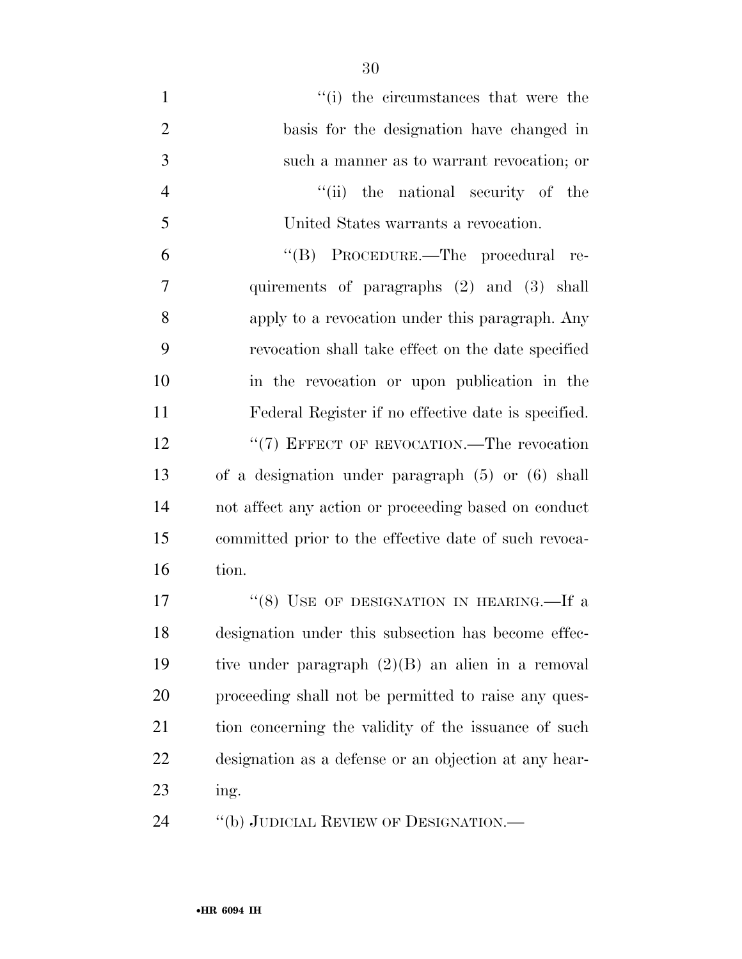| $\mathbf{1}$   | "(i) the circumstances that were the                  |
|----------------|-------------------------------------------------------|
| $\overline{2}$ | basis for the designation have changed in             |
| 3              | such a manner as to warrant revocation; or            |
| $\overline{4}$ | "(ii) the national security of the                    |
| 5              | United States warrants a revocation.                  |
| 6              | "(B) PROCEDURE.—The procedural re-                    |
| 7              | quirements of paragraphs (2) and (3) shall            |
| 8              | apply to a revocation under this paragraph. Any       |
| 9              | revocation shall take effect on the date specified    |
| 10             | in the revocation or upon publication in the          |
| 11             | Federal Register if no effective date is specified.   |
| 12             | "(7) EFFECT OF REVOCATION.—The revocation             |
| 13             | of a designation under paragraph $(5)$ or $(6)$ shall |
| 14             | not affect any action or proceeding based on conduct  |
| 15             | committed prior to the effective date of such revoca- |
| 16             | tion.                                                 |
| 17             | "(8) USE OF DESIGNATION IN HEARING.—If a              |
| 18             | designation under this subsection has become effec-   |
| 19             | tive under paragraph $(2)(B)$ an alien in a removal   |
| 20             | proceeding shall not be permitted to raise any ques-  |
| 21             | tion concerning the validity of the issuance of such  |
| 22             | designation as a defense or an objection at any hear- |
| 23             | ing.                                                  |
| 24             | "(b) JUDICIAL REVIEW OF DESIGNATION.—                 |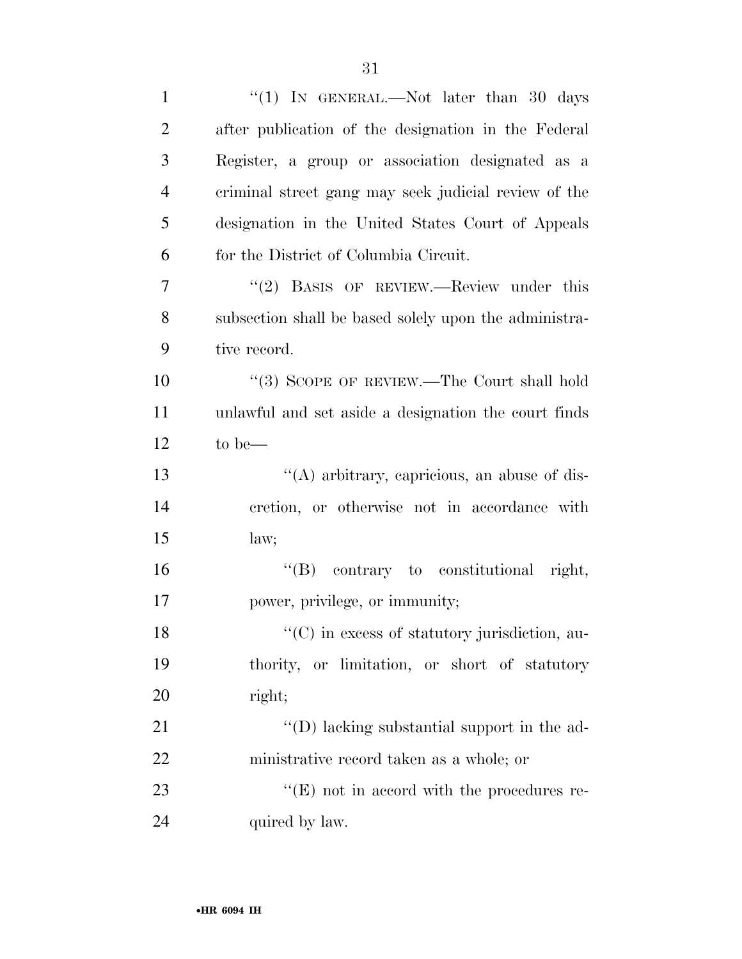| $\mathbf{1}$   | "(1) IN GENERAL.—Not later than 30 days                            |
|----------------|--------------------------------------------------------------------|
| $\overline{2}$ | after publication of the designation in the Federal                |
| 3              | Register, a group or association designated as a                   |
| $\overline{4}$ | criminal street gang may seek judicial review of the               |
| 5              | designation in the United States Court of Appeals                  |
| 6              | for the District of Columbia Circuit.                              |
| 7              | $(2)$ BASIS OF REVIEW.—Review under this                           |
| 8              | subsection shall be based solely upon the administra-              |
| 9              | tive record.                                                       |
| 10             | "(3) SCOPE OF REVIEW.—The Court shall hold                         |
| 11             | unlawful and set aside a designation the court finds               |
| 12             | to be—                                                             |
| 13             | $\lq\lq$ arbitrary, capricious, an abuse of dis-                   |
| 14             | cretion, or otherwise not in accordance with                       |
| 15             | law;                                                               |
| 16             | "(B) contrary to constitutional right,                             |
| 17             | power, privilege, or immunity;                                     |
| 18             | $\lq\lq$ <sup>"</sup> (C) in excess of statutory jurisdiction, au- |
| 19             | thority, or limitation, or short of statutory                      |
| 20             | right;                                                             |
| 21             | "(D) lacking substantial support in the ad-                        |
| 22             | ministrative record taken as a whole; or                           |
| 23             | $\lq\lq(E)$ not in accord with the procedures re-                  |
| 24             | quired by law.                                                     |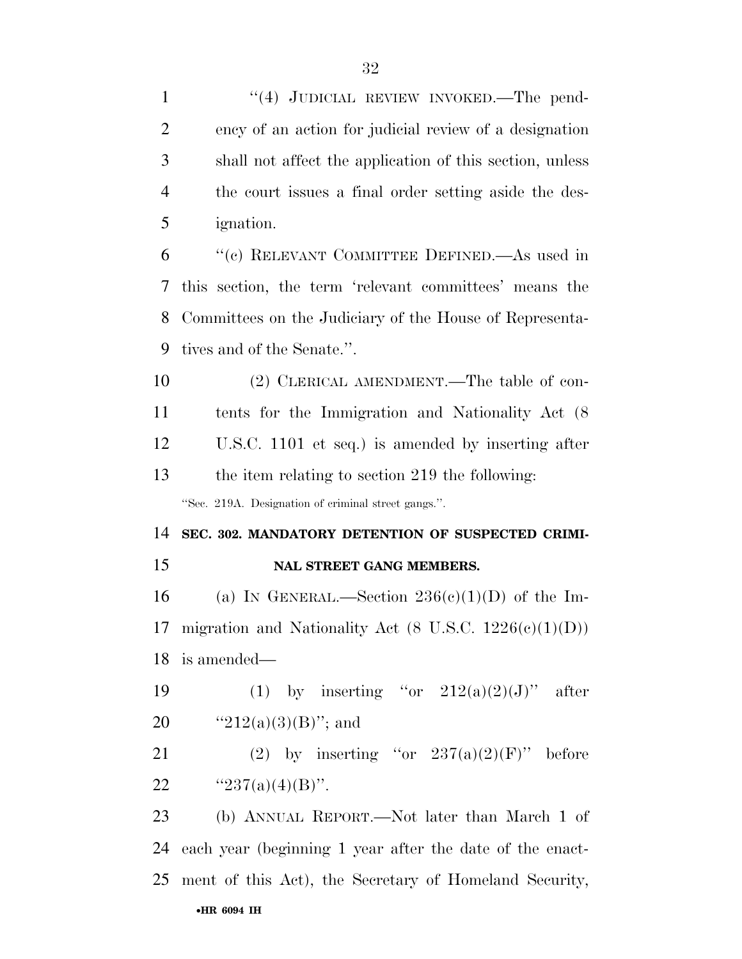| $\mathbf{1}$                                       | "(4) JUDICIAL REVIEW INVOKED.—The pend-                   |
|----------------------------------------------------|-----------------------------------------------------------|
| $\overline{2}$                                     | ency of an action for judicial review of a designation    |
| 3                                                  | shall not affect the application of this section, unless  |
| $\overline{4}$                                     | the court issues a final order setting aside the des-     |
| 5                                                  | <i>ignation.</i>                                          |
| 6                                                  | "(c) RELEVANT COMMITTEE DEFINED.—As used in               |
| 7                                                  | this section, the term 'relevant committees' means the    |
| 8                                                  | Committees on the Judiciary of the House of Representa-   |
| 9                                                  | tives and of the Senate.".                                |
| 10                                                 | (2) CLERICAL AMENDMENT.—The table of con-                 |
| 11                                                 | tents for the Immigration and Nationality Act (8)         |
| 12                                                 | U.S.C. 1101 et seq.) is amended by inserting after        |
| 13                                                 | the item relating to section 219 the following:           |
|                                                    | "Sec. 219A. Designation of criminal street gangs.".       |
|                                                    |                                                           |
|                                                    | SEC. 302. MANDATORY DETENTION OF SUSPECTED CRIMI-         |
| 14<br>15                                           | NAL STREET GANG MEMBERS.                                  |
|                                                    | (a) IN GENERAL.—Section $236(c)(1)(D)$ of the Im-         |
|                                                    | migration and Nationality Act (8 U.S.C. $1226(e)(1)(D)$ ) |
|                                                    | is amended—                                               |
|                                                    | (1) by inserting "or $212(a)(2)(J)$ " after               |
|                                                    | " $212(a)(3)(B)$ "; and                                   |
|                                                    | (2) by inserting "or $237(a)(2)(F)$ "<br>before           |
|                                                    | " $237(a)(4)(B)$ ".                                       |
|                                                    | (b) ANNUAL REPORT.—Not later than March 1 of              |
| 16<br>17<br>18<br>19<br>20<br>21<br>22<br>23<br>24 | each year (beginning 1 year after the date of the enact-  |
| 25                                                 | ment of this Act), the Secretary of Homeland Security,    |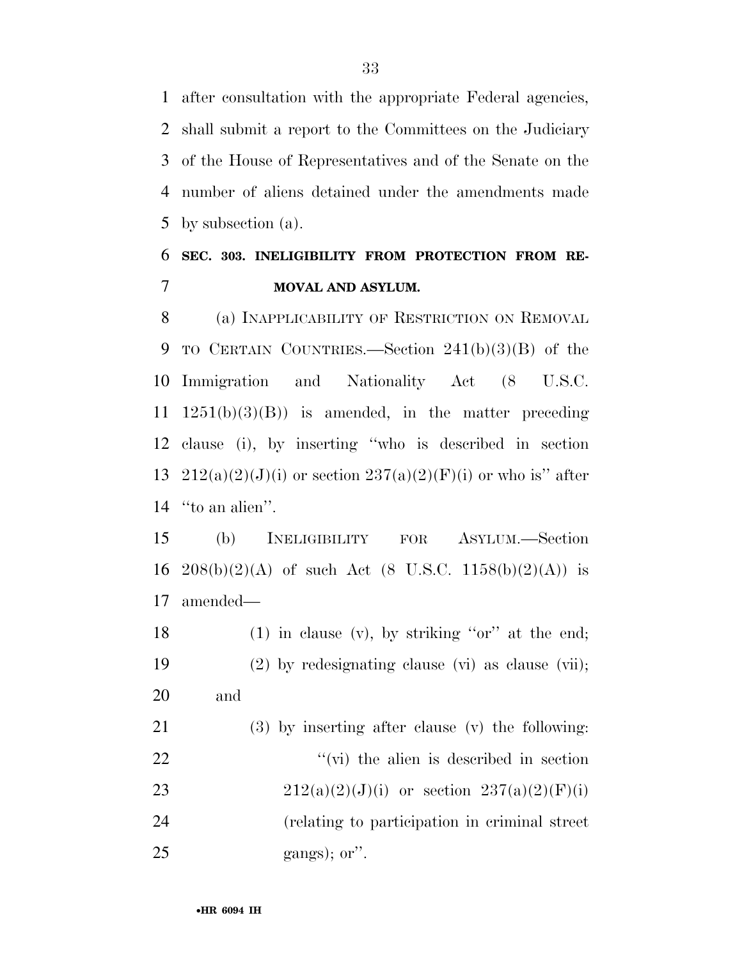after consultation with the appropriate Federal agencies, shall submit a report to the Committees on the Judiciary of the House of Representatives and of the Senate on the number of aliens detained under the amendments made by subsection (a).

### **SEC. 303. INELIGIBILITY FROM PROTECTION FROM RE-MOVAL AND ASYLUM.**

 (a) INAPPLICABILITY OF RESTRICTION ON REMOVAL TO CERTAIN COUNTRIES.—Section 241(b)(3)(B) of the Immigration and Nationality Act (8 U.S.C.  $1251(b)(3)(B)$  is amended, in the matter preceding clause (i), by inserting ''who is described in section 13 212(a)(2)(J)(i) or section  $237(a)(2)(F)(i)$  or who is" after ''to an alien''.

 (b) INELIGIBILITY FOR ASYLUM.—Section 16 208(b)(2)(A) of such Act (8 U.S.C. 1158(b)(2)(A)) is amended—

18 (1) in clause (v), by striking " $or$ " at the end; (2) by redesignating clause (vi) as clause (vii); and

 (3) by inserting after clause (v) the following:  $"$  (vi) the alien is described in section 23 212(a)(2)(J)(i) or section 237(a)(2)(F)(i) (relating to participation in criminal street gangs); or".